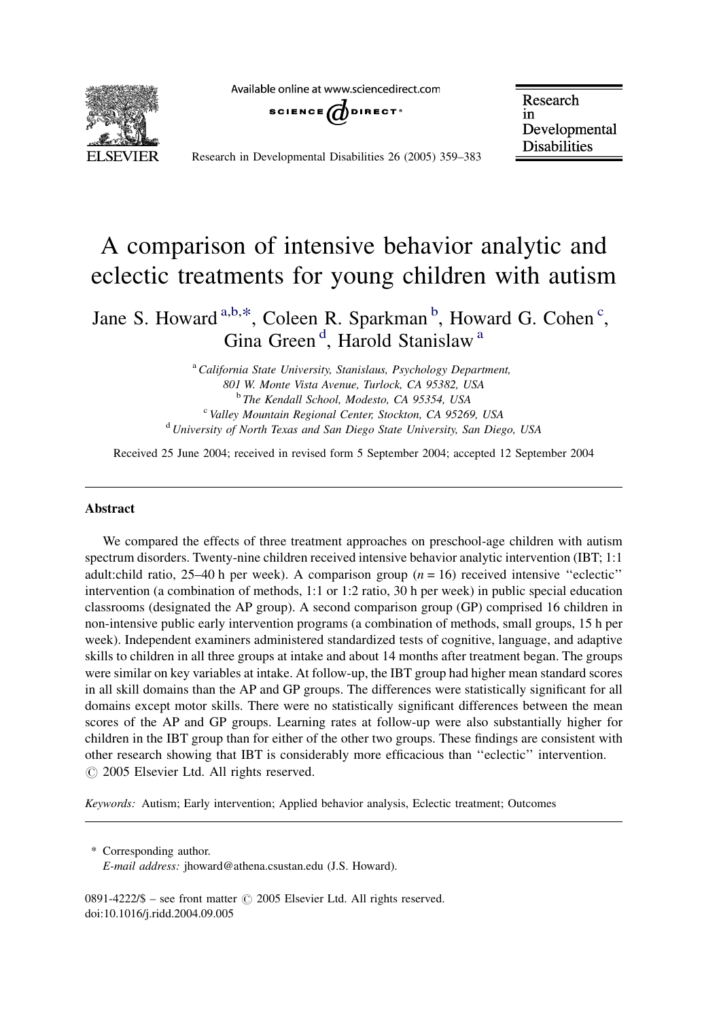Available online at www.sciencedirect.com



SCIENCE  $\omega$  direct<sup>®</sup>

Research in Developmental **Disabilities** 

Research in Developmental Disabilities 26 (2005) 359–383

# A comparison of intensive behavior analytic and eclectic treatments for young children with autism

Jane S. Howard <sup>a,b,\*</sup>, Coleen R. Sparkman <sup>b</sup>, Howard G. Cohen<sup>c</sup>, Gina Green<sup>d</sup>, Harold Stanislaw<sup>a</sup>

> <sup>a</sup> California State University, Stanislaus, Psychology Department, 801 W. Monte Vista Avenue, Turlock, CA 95382, USA <sup>b</sup> The Kendall School, Modesto, CA 95354, USA<br><sup>c</sup> Valley Mountain Regional Center, Stockton, CA 95269, USA <sup>d</sup> University of North Texas and San Diego State University, San Diego, USA

Received 25 June 2004; received in revised form 5 September 2004; accepted 12 September 2004

# Abstract

We compared the effects of three treatment approaches on preschool-age children with autism spectrum disorders. Twenty-nine children received intensive behavior analytic intervention (IBT; 1:1 adult:child ratio, 25–40 h per week). A comparison group  $(n = 16)$  received intensive "eclectic" intervention (a combination of methods, 1:1 or 1:2 ratio, 30 h per week) in public special education classrooms (designated the AP group). A second comparison group (GP) comprised 16 children in non-intensive public early intervention programs (a combination of methods, small groups, 15 h per week). Independent examiners administered standardized tests of cognitive, language, and adaptive skills to children in all three groups at intake and about 14 months after treatment began. The groups were similar on key variables at intake. At follow-up, the IBT group had higher mean standard scores in all skill domains than the AP and GP groups. The differences were statistically significant for all domains except motor skills. There were no statistically significant differences between the mean scores of the AP and GP groups. Learning rates at follow-up were also substantially higher for children in the IBT group than for either of the other two groups. These findings are consistent with other research showing that IBT is considerably more efficacious than ''eclectic'' intervention.  $\odot$  2005 Elsevier Ltd. All rights reserved.

Keywords: Autism; Early intervention; Applied behavior analysis, Eclectic treatment; Outcomes

\* Corresponding author.

E-mail address: jhoward@athena.csustan.edu (J.S. Howard).

0891-4222/\$ – see front matter  $\odot$  2005 Elsevier Ltd. All rights reserved. doi:10.1016/j.ridd.2004.09.005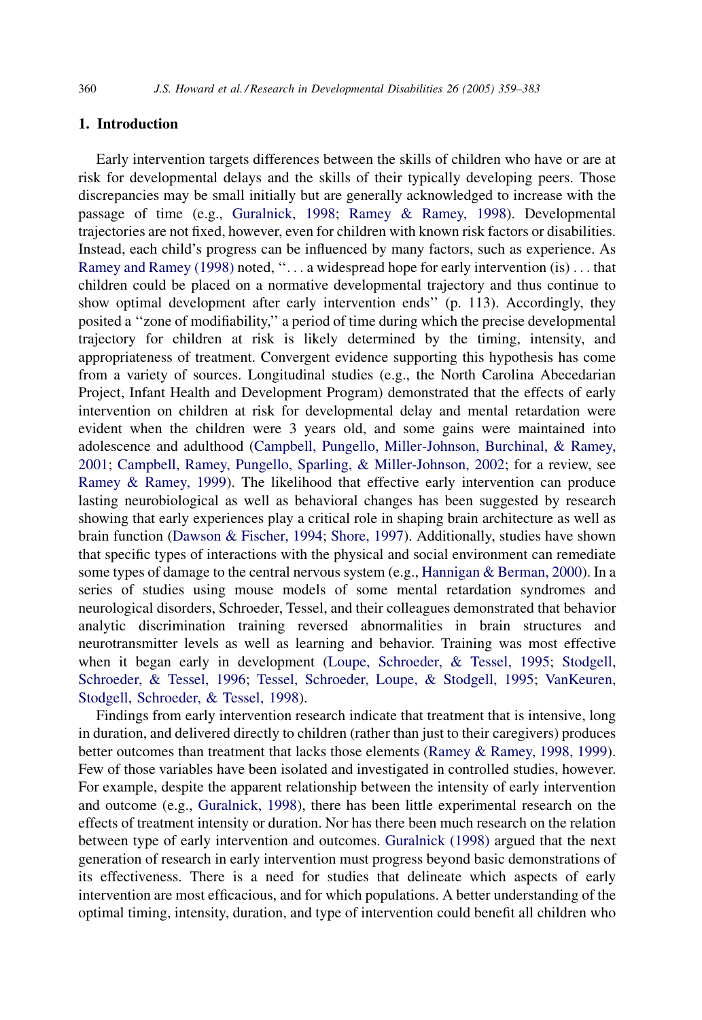# 1. Introduction

Early intervention targets differences between the skills of children who have or are at risk for developmental delays and the skills of their typically developing peers. Those discrepancies may be small initially but are generally acknowledged to increase with the passage of time (e.g., [Guralnick, 1998;](#page-22-0) [Ramey & Ramey, 1998\)](#page-23-0). Developmental trajectories are not fixed, however, even for children with known risk factors or disabilities. Instead, each child's progress can be influenced by many factors, such as experience. As [Ramey and Ramey \(1998\)](#page-23-0) noted, ''... a widespread hope for early intervention (is) ... that children could be placed on a normative developmental trajectory and thus continue to show optimal development after early intervention ends'' (p. 113). Accordingly, they posited a ''zone of modifiability,'' a period of time during which the precise developmental trajectory for children at risk is likely determined by the timing, intensity, and appropriateness of treatment. Convergent evidence supporting this hypothesis has come from a variety of sources. Longitudinal studies (e.g., the North Carolina Abecedarian Project, Infant Health and Development Program) demonstrated that the effects of early intervention on children at risk for developmental delay and mental retardation were evident when the children were 3 years old, and some gains were maintained into adolescence and adulthood ([Campbell, Pungello, Miller-Johnson, Burchinal, & Ramey,](#page-21-0) [2001](#page-21-0); [Campbell, Ramey, Pungello, Sparling, & Miller-Johnson, 2002;](#page-21-0) for a review, see [Ramey & Ramey, 1999](#page-23-0)). The likelihood that effective early intervention can produce lasting neurobiological as well as behavioral changes has been suggested by research showing that early experiences play a critical role in shaping brain architecture as well as brain function [\(Dawson & Fischer, 1994](#page-21-0); [Shore, 1997](#page-23-0)). Additionally, studies have shown that specific types of interactions with the physical and social environment can remediate some types of damage to the central nervous system (e.g., [Hannigan & Berman, 2000](#page-22-0)). In a series of studies using mouse models of some mental retardation syndromes and neurological disorders, Schroeder, Tessel, and their colleagues demonstrated that behavior analytic discrimination training reversed abnormalities in brain structures and neurotransmitter levels as well as learning and behavior. Training was most effective when it began early in development ([Loupe, Schroeder, & Tessel, 1995;](#page-22-0) [Stodgell,](#page-23-0) [Schroeder, & Tessel, 1996](#page-23-0); [Tessel, Schroeder, Loupe, & Stodgell, 1995](#page-23-0); [VanKeuren,](#page-23-0) [Stodgell, Schroeder, & Tessel, 1998](#page-23-0)).

Findings from early intervention research indicate that treatment that is intensive, long in duration, and delivered directly to children (rather than just to their caregivers) produces better outcomes than treatment that lacks those elements ([Ramey & Ramey, 1998, 1999](#page-23-0)). Few of those variables have been isolated and investigated in controlled studies, however. For example, despite the apparent relationship between the intensity of early intervention and outcome (e.g., [Guralnick, 1998](#page-22-0)), there has been little experimental research on the effects of treatment intensity or duration. Nor has there been much research on the relation between type of early intervention and outcomes. [Guralnick \(1998\)](#page-22-0) argued that the next generation of research in early intervention must progress beyond basic demonstrations of its effectiveness. There is a need for studies that delineate which aspects of early intervention are most efficacious, and for which populations. A better understanding of the optimal timing, intensity, duration, and type of intervention could benefit all children who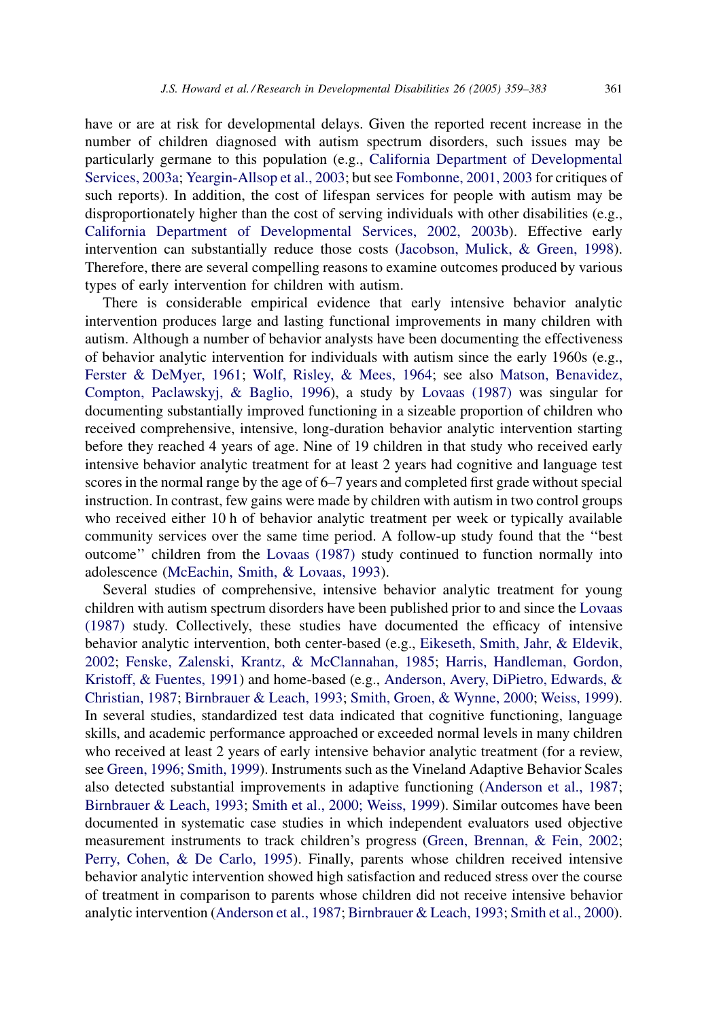have or are at risk for developmental delays. Given the reported recent increase in the number of children diagnosed with autism spectrum disorders, such issues may be particularly germane to this population (e.g., [California Department of Developmental](#page-21-0) [Services, 2003a](#page-21-0); [Yeargin-Allsop et al., 2003](#page-24-0); but see [Fombonne, 2001, 2003](#page-22-0) for critiques of such reports). In addition, the cost of lifespan services for people with autism may be disproportionately higher than the cost of serving individuals with other disabilities (e.g., [California Department of Developmental Services, 2002, 2003b](#page-21-0)). Effective early intervention can substantially reduce those costs ([Jacobson, Mulick, & Green, 1998\)](#page-22-0). Therefore, there are several compelling reasons to examine outcomes produced by various types of early intervention for children with autism.

There is considerable empirical evidence that early intensive behavior analytic intervention produces large and lasting functional improvements in many children with autism. Although a number of behavior analysts have been documenting the effectiveness of behavior analytic intervention for individuals with autism since the early 1960s (e.g., [Ferster & DeMyer, 1961](#page-22-0); [Wolf, Risley, & Mees, 1964](#page-24-0); see also [Matson, Benavidez,](#page-22-0) [Compton, Paclawskyj, & Baglio, 1996](#page-22-0)), a study by [Lovaas \(1987\)](#page-22-0) was singular for documenting substantially improved functioning in a sizeable proportion of children who received comprehensive, intensive, long-duration behavior analytic intervention starting before they reached 4 years of age. Nine of 19 children in that study who received early intensive behavior analytic treatment for at least 2 years had cognitive and language test scores in the normal range by the age of 6–7 years and completed first grade without special instruction. In contrast, few gains were made by children with autism in two control groups who received either 10 h of behavior analytic treatment per week or typically available community services over the same time period. A follow-up study found that the ''best outcome'' children from the [Lovaas \(1987\)](#page-22-0) study continued to function normally into adolescence ([McEachin, Smith, & Lovaas, 1993\)](#page-22-0).

Several studies of comprehensive, intensive behavior analytic treatment for young children with autism spectrum disorders have been published prior to and since the [Lovaas](#page-22-0) [\(1987\)](#page-22-0) study. Collectively, these studies have documented the efficacy of intensive behavior analytic intervention, both center-based (e.g., [Eikeseth, Smith, Jahr, & Eldevik,](#page-21-0) [2002;](#page-21-0) [Fenske, Zalenski, Krantz, & McClannahan, 1985](#page-22-0); [Harris, Handleman, Gordon,](#page-22-0) [Kristoff, & Fuentes, 1991\)](#page-22-0) and home-based (e.g., [Anderson, Avery, DiPietro, Edwards, &](#page-21-0) [Christian, 1987](#page-21-0); [Birnbrauer & Leach, 1993;](#page-21-0) [Smith, Groen, & Wynne, 2000;](#page-23-0) [Weiss, 1999\)](#page-23-0). In several studies, standardized test data indicated that cognitive functioning, language skills, and academic performance approached or exceeded normal levels in many children who received at least 2 years of early intensive behavior analytic treatment (for a review, see [Green, 1996; Smith, 1999](#page-22-0)). Instruments such as the Vineland Adaptive Behavior Scales also detected substantial improvements in adaptive functioning [\(Anderson et al., 1987;](#page-21-0) [Birnbrauer & Leach, 1993;](#page-21-0) [Smith et al., 2000; Weiss, 1999\)](#page-23-0). Similar outcomes have been documented in systematic case studies in which independent evaluators used objective measurement instruments to track children's progress [\(Green, Brennan, & Fein, 2002;](#page-22-0) [Perry, Cohen, & De Carlo, 1995](#page-23-0)). Finally, parents whose children received intensive behavior analytic intervention showed high satisfaction and reduced stress over the course of treatment in comparison to parents whose children did not receive intensive behavior analytic intervention ([Anderson et al., 1987;](#page-21-0) [Birnbrauer & Leach, 1993;](#page-21-0) [Smith et al., 2000\)](#page-23-0).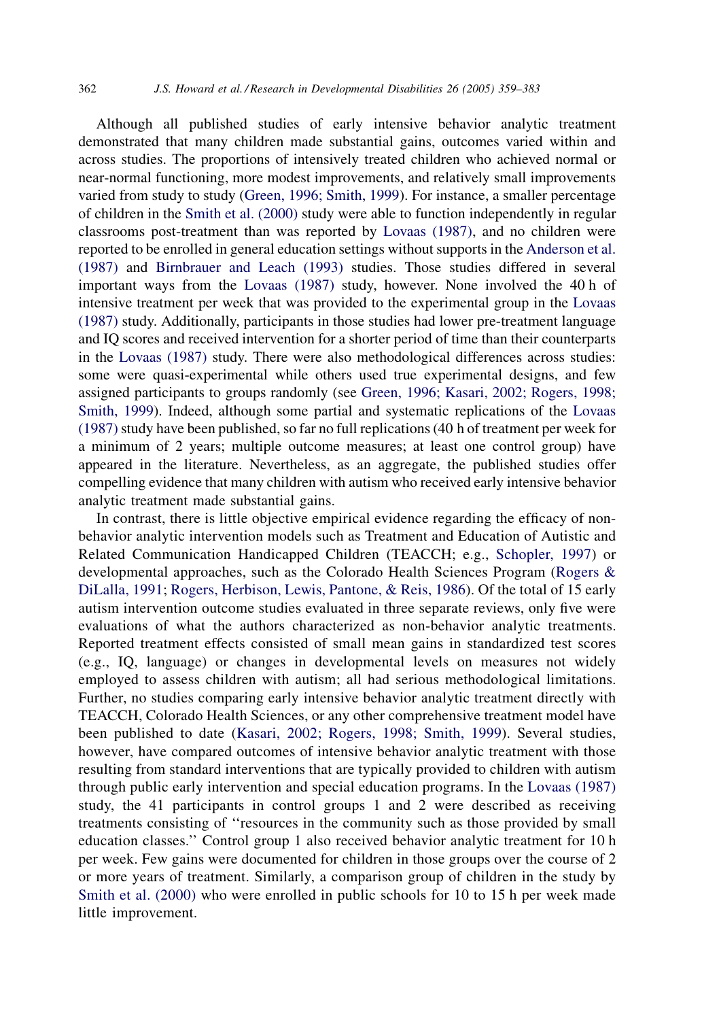Although all published studies of early intensive behavior analytic treatment demonstrated that many children made substantial gains, outcomes varied within and across studies. The proportions of intensively treated children who achieved normal or near-normal functioning, more modest improvements, and relatively small improvements varied from study to study [\(Green, 1996; Smith, 1999](#page-22-0)). For instance, a smaller percentage of children in the [Smith et al. \(2000\)](#page-23-0) study were able to function independently in regular classrooms post-treatment than was reported by [Lovaas \(1987\)](#page-22-0), and no children were reported to be enrolled in general education settings without supports in the [Anderson et al.](#page-21-0) [\(1987\)](#page-21-0) and [Birnbrauer and Leach \(1993\)](#page-21-0) studies. Those studies differed in several important ways from the [Lovaas \(1987\)](#page-22-0) study, however. None involved the 40 h of intensive treatment per week that was provided to the experimental group in the [Lovaas](#page-22-0) [\(1987\)](#page-22-0) study. Additionally, participants in those studies had lower pre-treatment language and IQ scores and received intervention for a shorter period of time than their counterparts in the [Lovaas \(1987\)](#page-22-0) study. There were also methodological differences across studies: some were quasi-experimental while others used true experimental designs, and few assigned participants to groups randomly (see [Green, 1996; Kasari, 2002; Rogers, 1998;](#page-22-0) [Smith, 1999\)](#page-22-0). Indeed, although some partial and systematic replications of the [Lovaas](#page-22-0)  $(1987)$  study have been published, so far no full replications  $(40 h)$  of treatment per week for a minimum of 2 years; multiple outcome measures; at least one control group) have appeared in the literature. Nevertheless, as an aggregate, the published studies offer compelling evidence that many children with autism who received early intensive behavior analytic treatment made substantial gains.

In contrast, there is little objective empirical evidence regarding the efficacy of nonbehavior analytic intervention models such as Treatment and Education of Autistic and Related Communication Handicapped Children (TEACCH; e.g., [Schopler, 1997\)](#page-23-0) or developmental approaches, such as the Colorado Health Sciences Program ([Rogers &](#page-23-0) [DiLalla, 1991;](#page-23-0) [Rogers, Herbison, Lewis, Pantone, & Reis, 1986\)](#page-23-0). Of the total of 15 early autism intervention outcome studies evaluated in three separate reviews, only five were evaluations of what the authors characterized as non-behavior analytic treatments. Reported treatment effects consisted of small mean gains in standardized test scores (e.g., IQ, language) or changes in developmental levels on measures not widely employed to assess children with autism; all had serious methodological limitations. Further, no studies comparing early intensive behavior analytic treatment directly with TEACCH, Colorado Health Sciences, or any other comprehensive treatment model have been published to date ([Kasari, 2002; Rogers, 1998; Smith, 1999\)](#page-22-0). Several studies, however, have compared outcomes of intensive behavior analytic treatment with those resulting from standard interventions that are typically provided to children with autism through public early intervention and special education programs. In the [Lovaas \(1987\)](#page-22-0) study, the 41 participants in control groups 1 and 2 were described as receiving treatments consisting of ''resources in the community such as those provided by small education classes.'' Control group 1 also received behavior analytic treatment for 10 h per week. Few gains were documented for children in those groups over the course of 2 or more years of treatment. Similarly, a comparison group of children in the study by [Smith et al. \(2000\)](#page-23-0) who were enrolled in public schools for 10 to 15 h per week made little improvement.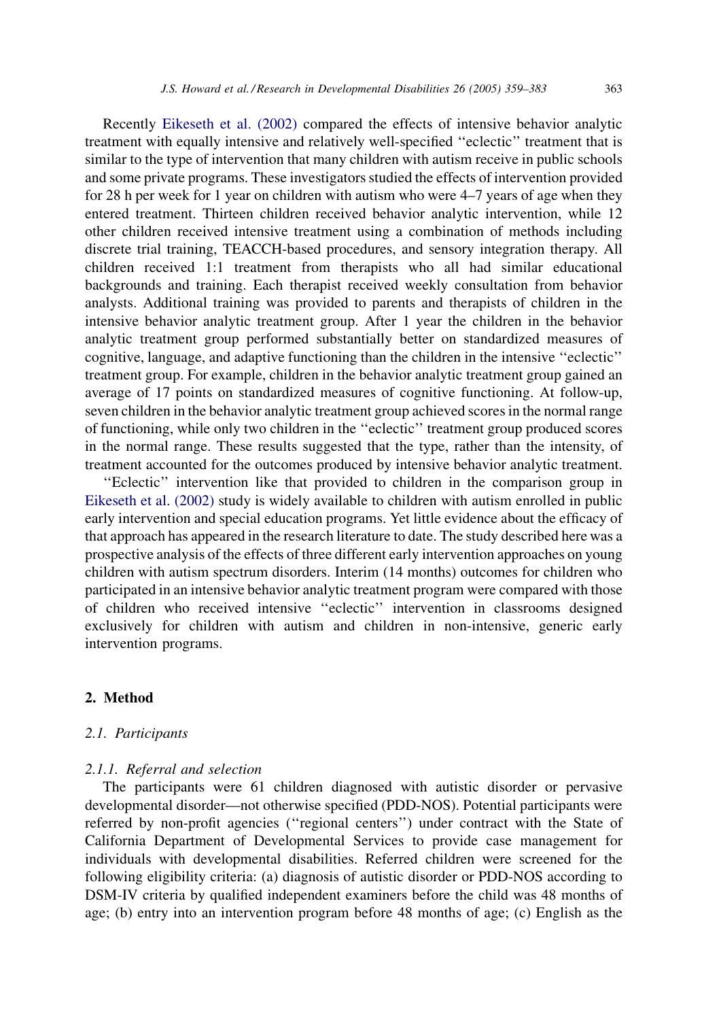Recently [Eikeseth et al. \(2002\)](#page-21-0) compared the effects of intensive behavior analytic treatment with equally intensive and relatively well-specified ''eclectic'' treatment that is similar to the type of intervention that many children with autism receive in public schools and some private programs. These investigators studied the effects of intervention provided for 28 h per week for 1 year on children with autism who were 4–7 years of age when they entered treatment. Thirteen children received behavior analytic intervention, while 12 other children received intensive treatment using a combination of methods including discrete trial training, TEACCH-based procedures, and sensory integration therapy. All children received 1:1 treatment from therapists who all had similar educational backgrounds and training. Each therapist received weekly consultation from behavior analysts. Additional training was provided to parents and therapists of children in the intensive behavior analytic treatment group. After 1 year the children in the behavior analytic treatment group performed substantially better on standardized measures of cognitive, language, and adaptive functioning than the children in the intensive ''eclectic'' treatment group. For example, children in the behavior analytic treatment group gained an average of 17 points on standardized measures of cognitive functioning. At follow-up, seven children in the behavior analytic treatment group achieved scores in the normal range of functioning, while only two children in the ''eclectic'' treatment group produced scores in the normal range. These results suggested that the type, rather than the intensity, of treatment accounted for the outcomes produced by intensive behavior analytic treatment.

''Eclectic'' intervention like that provided to children in the comparison group in [Eikeseth et al. \(2002\)](#page-21-0) study is widely available to children with autism enrolled in public early intervention and special education programs. Yet little evidence about the efficacy of that approach has appeared in the research literature to date. The study described here was a prospective analysis of the effects of three different early intervention approaches on young children with autism spectrum disorders. Interim (14 months) outcomes for children who participated in an intensive behavior analytic treatment program were compared with those of children who received intensive ''eclectic'' intervention in classrooms designed exclusively for children with autism and children in non-intensive, generic early intervention programs.

# 2. Method

#### 2.1. Participants

#### 2.1.1. Referral and selection

The participants were 61 children diagnosed with autistic disorder or pervasive developmental disorder—not otherwise specified (PDD-NOS). Potential participants were referred by non-profit agencies (''regional centers'') under contract with the State of California Department of Developmental Services to provide case management for individuals with developmental disabilities. Referred children were screened for the following eligibility criteria: (a) diagnosis of autistic disorder or PDD-NOS according to DSM-IV criteria by qualified independent examiners before the child was 48 months of age; (b) entry into an intervention program before 48 months of age; (c) English as the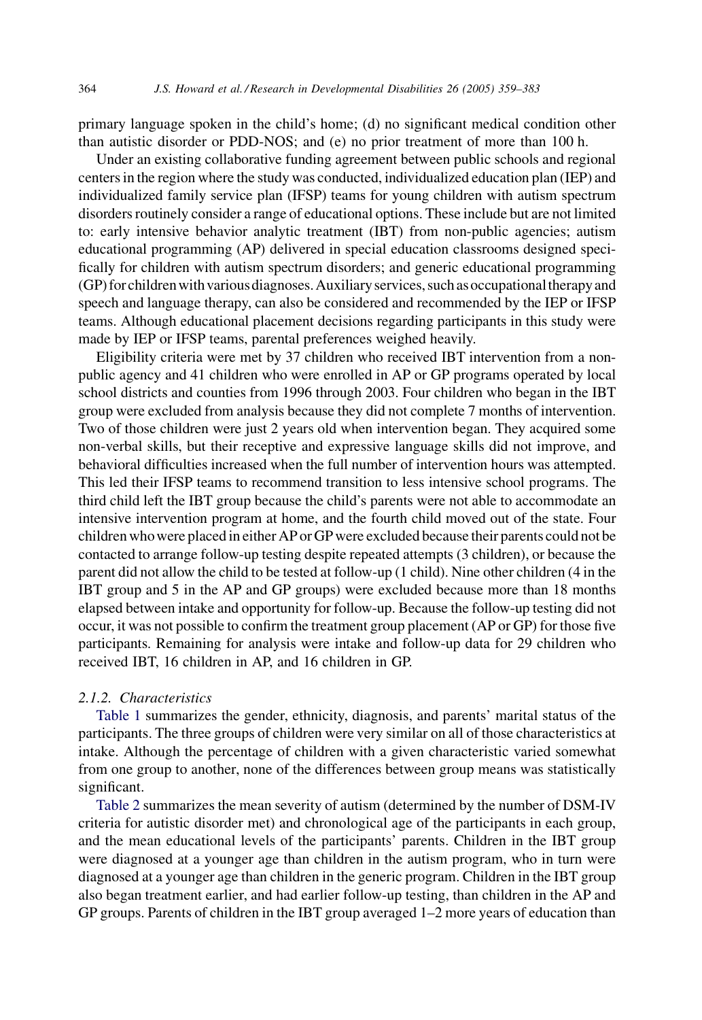primary language spoken in the child's home; (d) no significant medical condition other than autistic disorder or PDD-NOS; and (e) no prior treatment of more than 100 h.

Under an existing collaborative funding agreement between public schools and regional centers in the region where the study was conducted, individualized education plan (IEP) and individualized family service plan (IFSP) teams for young children with autism spectrum disorders routinely consider a range of educational options. These include but are not limited to: early intensive behavior analytic treatment (IBT) from non-public agencies; autism educational programming (AP) delivered in special education classrooms designed specifically for children with autism spectrum disorders; and generic educational programming (GP) for childrenwith various diagnoses.Auxiliary services, such as occupationaltherapy and speech and language therapy, can also be considered and recommended by the IEP or IFSP teams. Although educational placement decisions regarding participants in this study were made by IEP or IFSP teams, parental preferences weighed heavily.

Eligibility criteria were met by 37 children who received IBT intervention from a nonpublic agency and 41 children who were enrolled in AP or GP programs operated by local school districts and counties from 1996 through 2003. Four children who began in the IBT group were excluded from analysis because they did not complete 7 months of intervention. Two of those children were just 2 years old when intervention began. They acquired some non-verbal skills, but their receptive and expressive language skills did not improve, and behavioral difficulties increased when the full number of intervention hours was attempted. This led their IFSP teams to recommend transition to less intensive school programs. The third child left the IBT group because the child's parents were not able to accommodate an intensive intervention program at home, and the fourth child moved out of the state. Four children who were placed in either AP or GP were excluded because their parents could not be contacted to arrange follow-up testing despite repeated attempts (3 children), or because the parent did not allow the child to be tested at follow-up (1 child). Nine other children (4 in the IBT group and 5 in the AP and GP groups) were excluded because more than 18 months elapsed between intake and opportunity for follow-up. Because the follow-up testing did not occur, it was not possible to confirm the treatment group placement (AP or GP) for those five participants. Remaining for analysis were intake and follow-up data for 29 children who received IBT, 16 children in AP, and 16 children in GP.

# 2.1.2. Characteristics

[Table 1](#page-6-0) summarizes the gender, ethnicity, diagnosis, and parents' marital status of the participants. The three groups of children were very similar on all of those characteristics at intake. Although the percentage of children with a given characteristic varied somewhat from one group to another, none of the differences between group means was statistically significant.

[Table 2](#page-6-0) summarizes the mean severity of autism (determined by the number of DSM-IV criteria for autistic disorder met) and chronological age of the participants in each group, and the mean educational levels of the participants' parents. Children in the IBT group were diagnosed at a younger age than children in the autism program, who in turn were diagnosed at a younger age than children in the generic program. Children in the IBT group also began treatment earlier, and had earlier follow-up testing, than children in the AP and GP groups. Parents of children in the IBT group averaged 1–2 more years of education than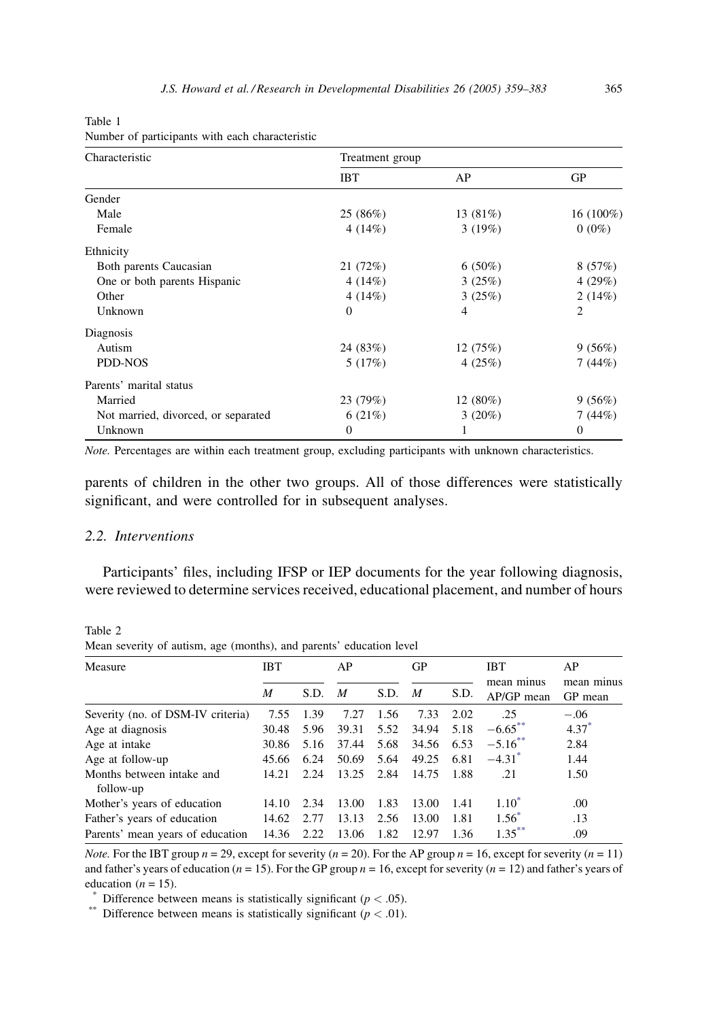| Characteristic                      | Treatment group |                |                |  |  |  |  |
|-------------------------------------|-----------------|----------------|----------------|--|--|--|--|
|                                     | <b>IBT</b>      | AP             | GP             |  |  |  |  |
| Gender                              |                 |                |                |  |  |  |  |
| Male                                | 25 (86%)        | 13 (81%)       | 16 (100%)      |  |  |  |  |
| Female                              | 4(14%)          | 3(19%)         | $0(0\%)$       |  |  |  |  |
| Ethnicity                           |                 |                |                |  |  |  |  |
| Both parents Caucasian              | 21 (72%)        | $6(50\%)$      | 8(57%)         |  |  |  |  |
| One or both parents Hispanic        | 4(14%)          | 3(25%)         | 4 $(29%)$      |  |  |  |  |
| Other                               | 4(14%)          | 3(25%)         | 2(14%)         |  |  |  |  |
| Unknown                             | $\Omega$        | $\overline{4}$ | $\overline{c}$ |  |  |  |  |
| Diagnosis                           |                 |                |                |  |  |  |  |
| Autism                              | 24 (83%)        | 12(75%)        | 9(56%)         |  |  |  |  |
| PDD-NOS                             | 5(17%)          | 4(25%)         | 7(44%)         |  |  |  |  |
| Parents' marital status             |                 |                |                |  |  |  |  |
| Married                             | 23 (79%)        | $12(80\%)$     | 9(56%)         |  |  |  |  |
| Not married, divorced, or separated | 6(21%)          | 3(20%)         | 7(44%)         |  |  |  |  |
| Unknown                             | $\theta$        | 1              | $\mathbf{0}$   |  |  |  |  |

<span id="page-6-0"></span>Table 1 Number of participants with each characteristic

Note. Percentages are within each treatment group, excluding participants with unknown characteristics.

parents of children in the other two groups. All of those differences were statistically significant, and were controlled for in subsequent analyses.

# 2.2. Interventions

Table 2

Participants' files, including IFSP or IEP documents for the year following diagnosis, were reviewed to determine services received, educational placement, and number of hours

Measure IBT AP GP IBT mean minus M S.D. M S.D. M S.D. AP/GP mean GP mean AP mean minus Severity (no. of DSM-IV criteria) 7.55 1.39 7.27 1.56 7.33 2.02 .25 -.06<br>Age at diagnosis 30.48 5.96 39.31 5.52 34.94 5.18 -6.65<sup>\*\*</sup> 4.37<sup>\*</sup> Age at diagnosis 30.48 5.96 39.31 5.52 34.94 5.18  $-6.65^{**}$  4.37<sup>\*</sup> Age at intake  $30.86 \quad 5.16 \quad 37.44 \quad 5.68 \quad 34.56 \quad 6.53 \quad -5.16^{**} \quad 2.84$ Age at follow-up 45.66 6.24 50.69 5.64 49.25 6.81 -4.31<sup>\*</sup> 1.44<br>Months between intake and 14.21 2.24 13.25 2.84 14.75 1.88 .21 1.50 Months between intake and follow-up 14.21 2.24 13.25 2.84 14.75 1.88 .21 1.50 Mother's years of education 14.10 2.34 13.00 1.83 13.00 1.41 1.10<sup>\*</sup> .00 Father's years of education 14.62 2.77 13.13 2.56 13.00 1.81 1.56<sup>\*</sup> .13 Parents' mean years of education 14.36 2.22 13.06 1.82 12.97 1.36 1.35<sup>\*\*</sup> .09

Mean severity of autism, age (months), and parents' education level

*Note.* For the IBT group  $n = 29$ , except for severity ( $n = 20$ ). For the AP group  $n = 16$ , except for severity ( $n = 11$ ) and father's years of education ( $n = 15$ ). For the GP group  $n = 16$ , except for severity ( $n = 12$ ) and father's years of education (*n* = 15).<br>
\*\* Difference between means is statistically significant (*p* < .05).<br>
\*\* Difference between means is statistically significant (*p* < .01).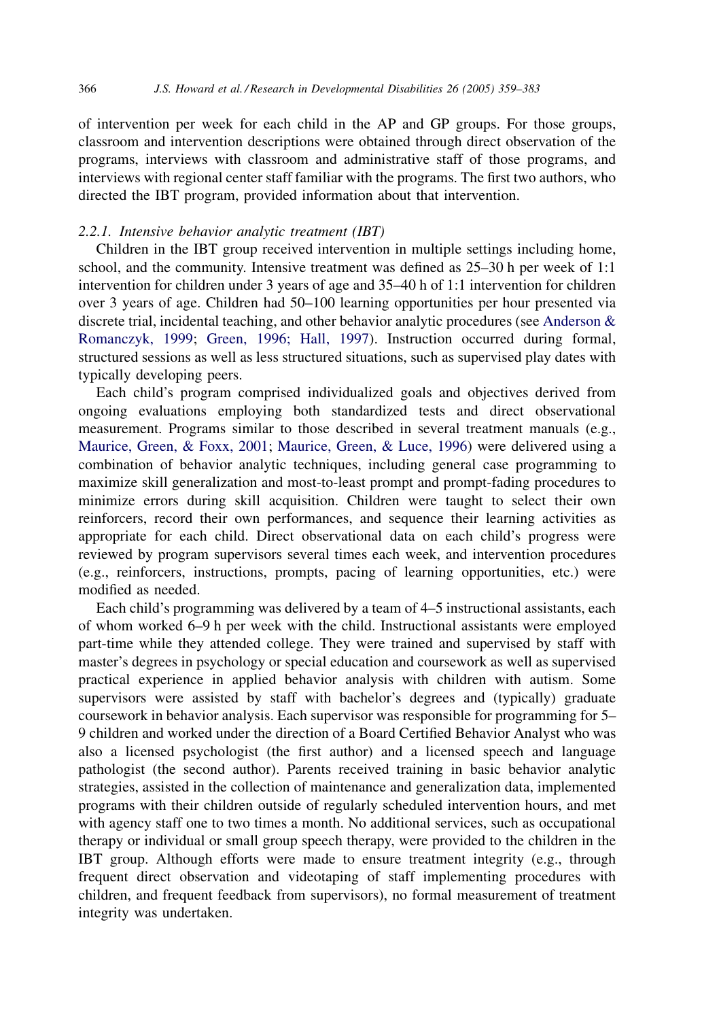of intervention per week for each child in the AP and GP groups. For those groups, classroom and intervention descriptions were obtained through direct observation of the programs, interviews with classroom and administrative staff of those programs, and interviews with regional center staff familiar with the programs. The first two authors, who directed the IBT program, provided information about that intervention.

## 2.2.1. Intensive behavior analytic treatment (IBT)

Children in the IBT group received intervention in multiple settings including home, school, and the community. Intensive treatment was defined as 25–30 h per week of 1:1 intervention for children under 3 years of age and 35–40 h of 1:1 intervention for children over 3 years of age. Children had 50–100 learning opportunities per hour presented via discrete trial, incidental teaching, and other behavior analytic procedures (see [Anderson &](#page-21-0) [Romanczyk, 1999;](#page-21-0) [Green, 1996; Hall, 1997](#page-22-0)). Instruction occurred during formal, structured sessions as well as less structured situations, such as supervised play dates with typically developing peers.

Each child's program comprised individualized goals and objectives derived from ongoing evaluations employing both standardized tests and direct observational measurement. Programs similar to those described in several treatment manuals (e.g., [Maurice, Green, & Foxx, 2001](#page-22-0); [Maurice, Green, & Luce, 1996\)](#page-22-0) were delivered using a combination of behavior analytic techniques, including general case programming to maximize skill generalization and most-to-least prompt and prompt-fading procedures to minimize errors during skill acquisition. Children were taught to select their own reinforcers, record their own performances, and sequence their learning activities as appropriate for each child. Direct observational data on each child's progress were reviewed by program supervisors several times each week, and intervention procedures (e.g., reinforcers, instructions, prompts, pacing of learning opportunities, etc.) were modified as needed.

Each child's programming was delivered by a team of 4–5 instructional assistants, each of whom worked 6–9 h per week with the child. Instructional assistants were employed part-time while they attended college. They were trained and supervised by staff with master's degrees in psychology or special education and coursework as well as supervised practical experience in applied behavior analysis with children with autism. Some supervisors were assisted by staff with bachelor's degrees and (typically) graduate coursework in behavior analysis. Each supervisor was responsible for programming for 5– 9 children and worked under the direction of a Board Certified Behavior Analyst who was also a licensed psychologist (the first author) and a licensed speech and language pathologist (the second author). Parents received training in basic behavior analytic strategies, assisted in the collection of maintenance and generalization data, implemented programs with their children outside of regularly scheduled intervention hours, and met with agency staff one to two times a month. No additional services, such as occupational therapy or individual or small group speech therapy, were provided to the children in the IBT group. Although efforts were made to ensure treatment integrity (e.g., through frequent direct observation and videotaping of staff implementing procedures with children, and frequent feedback from supervisors), no formal measurement of treatment integrity was undertaken.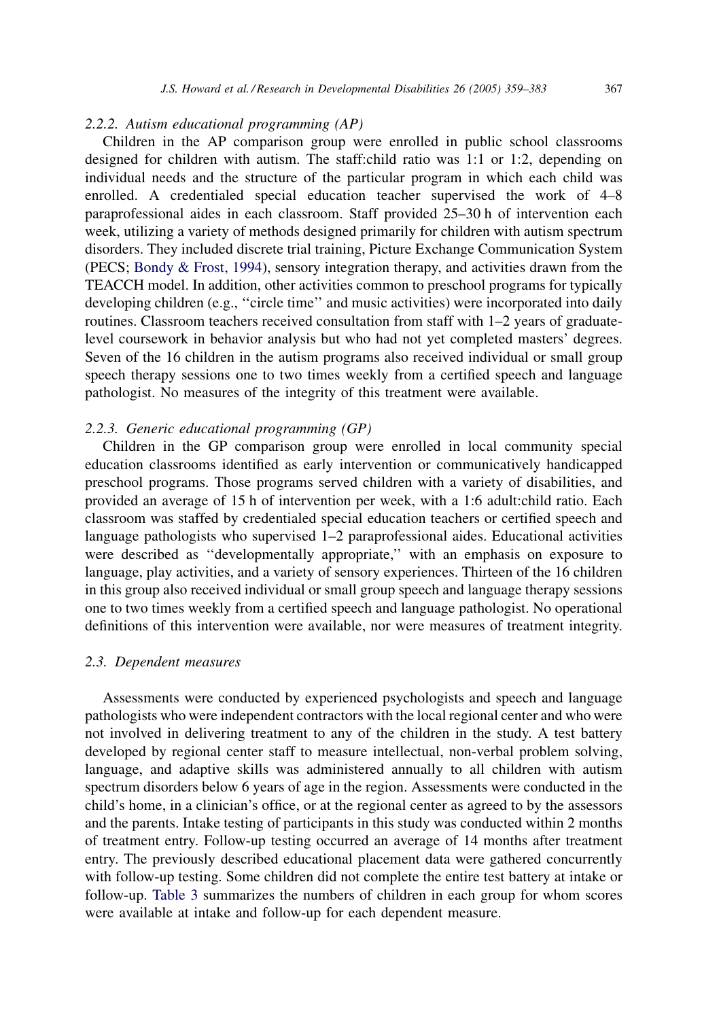# 2.2.2. Autism educational programming (AP)

Children in the AP comparison group were enrolled in public school classrooms designed for children with autism. The staff:child ratio was 1:1 or 1:2, depending on individual needs and the structure of the particular program in which each child was enrolled. A credentialed special education teacher supervised the work of 4–8 paraprofessional aides in each classroom. Staff provided 25–30 h of intervention each week, utilizing a variety of methods designed primarily for children with autism spectrum disorders. They included discrete trial training, Picture Exchange Communication System (PECS; [Bondy & Frost, 1994\)](#page-21-0), sensory integration therapy, and activities drawn from the TEACCH model. In addition, other activities common to preschool programs for typically developing children (e.g., "circle time" and music activities) were incorporated into daily routines. Classroom teachers received consultation from staff with 1–2 years of graduatelevel coursework in behavior analysis but who had not yet completed masters' degrees. Seven of the 16 children in the autism programs also received individual or small group speech therapy sessions one to two times weekly from a certified speech and language pathologist. No measures of the integrity of this treatment were available.

# 2.2.3. Generic educational programming (GP)

Children in the GP comparison group were enrolled in local community special education classrooms identified as early intervention or communicatively handicapped preschool programs. Those programs served children with a variety of disabilities, and provided an average of 15 h of intervention per week, with a 1:6 adult:child ratio. Each classroom was staffed by credentialed special education teachers or certified speech and language pathologists who supervised 1–2 paraprofessional aides. Educational activities were described as ''developmentally appropriate,'' with an emphasis on exposure to language, play activities, and a variety of sensory experiences. Thirteen of the 16 children in this group also received individual or small group speech and language therapy sessions one to two times weekly from a certified speech and language pathologist. No operational definitions of this intervention were available, nor were measures of treatment integrity.

#### 2.3. Dependent measures

Assessments were conducted by experienced psychologists and speech and language pathologists who were independent contractors with the local regional center and who were not involved in delivering treatment to any of the children in the study. A test battery developed by regional center staff to measure intellectual, non-verbal problem solving, language, and adaptive skills was administered annually to all children with autism spectrum disorders below 6 years of age in the region. Assessments were conducted in the child's home, in a clinician's office, or at the regional center as agreed to by the assessors and the parents. Intake testing of participants in this study was conducted within 2 months of treatment entry. Follow-up testing occurred an average of 14 months after treatment entry. The previously described educational placement data were gathered concurrently with follow-up testing. Some children did not complete the entire test battery at intake or follow-up. [Table 3](#page-9-0) summarizes the numbers of children in each group for whom scores were available at intake and follow-up for each dependent measure.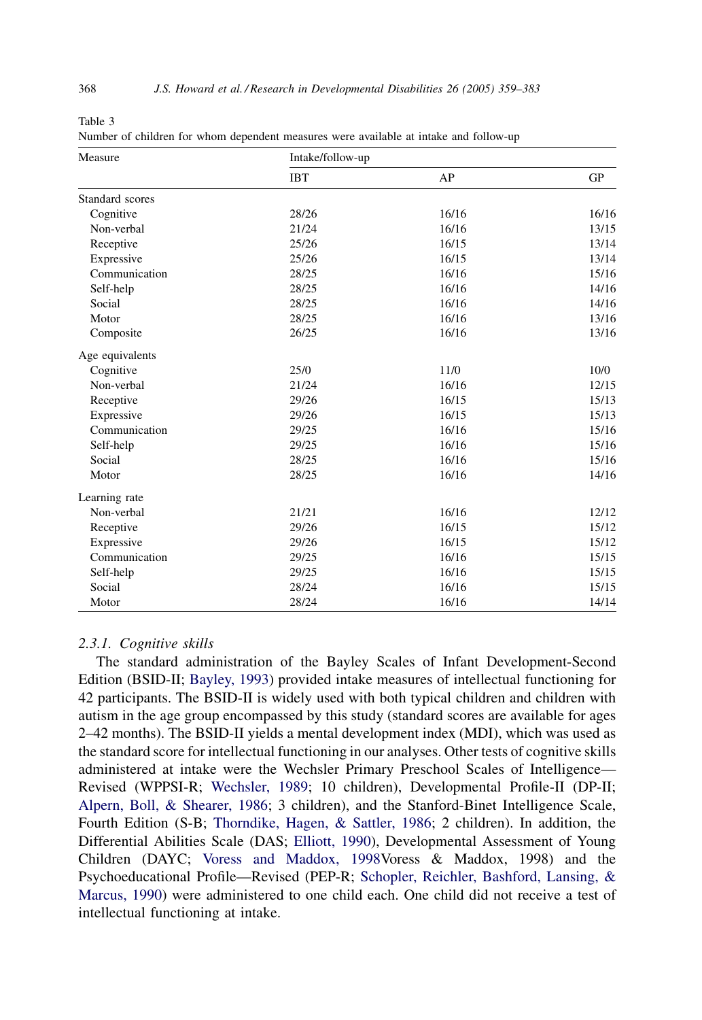| г |
|---|
|---|

Number of children for whom dependent measures were available at intake and follow-up

| Measure         | Intake/follow-up |       |           |  |
|-----------------|------------------|-------|-----------|--|
|                 | <b>IBT</b>       | AP    | <b>GP</b> |  |
| Standard scores |                  |       |           |  |
| Cognitive       | 28/26            | 16/16 | 16/16     |  |
| Non-verbal      | 21/24            | 16/16 | 13/15     |  |
| Receptive       | 25/26            | 16/15 | 13/14     |  |
| Expressive      | 25/26            | 16/15 | 13/14     |  |
| Communication   | 28/25            | 16/16 | 15/16     |  |
| Self-help       | 28/25            | 16/16 | 14/16     |  |
| Social          | 28/25            | 16/16 | 14/16     |  |
| Motor           | 28/25            | 16/16 | 13/16     |  |
| Composite       | 26/25            | 16/16 | 13/16     |  |
| Age equivalents |                  |       |           |  |
| Cognitive       | 25/0             | 11/0  | 10/0      |  |
| Non-verbal      | 21/24            | 16/16 | 12/15     |  |
| Receptive       | 29/26            | 16/15 | 15/13     |  |
| Expressive      | 29/26            | 16/15 | 15/13     |  |
| Communication   | 29/25            | 16/16 | 15/16     |  |
| Self-help       | 29/25            | 16/16 | 15/16     |  |
| Social          | 28/25            | 16/16 | 15/16     |  |
| Motor           | 28/25            | 16/16 | 14/16     |  |
| Learning rate   |                  |       |           |  |
| Non-verbal      | 21/21            | 16/16 | 12/12     |  |
| Receptive       | 29/26            | 16/15 | 15/12     |  |
| Expressive      | 29/26            | 16/15 | 15/12     |  |
| Communication   | 29/25            | 16/16 | 15/15     |  |
| Self-help       | 29/25            | 16/16 | 15/15     |  |
| Social          | 28/24            | 16/16 | 15/15     |  |
| Motor           | 28/24            | 16/16 | 14/14     |  |

# 2.3.1. Cognitive skills

The standard administration of the Bayley Scales of Infant Development-Second Edition (BSID-II; [Bayley, 1993](#page-21-0)) provided intake measures of intellectual functioning for 42 participants. The BSID-II is widely used with both typical children and children with autism in the age group encompassed by this study (standard scores are available for ages 2–42 months). The BSID-II yields a mental development index (MDI), which was used as the standard score for intellectual functioning in our analyses. Other tests of cognitive skills administered at intake were the Wechsler Primary Preschool Scales of Intelligence— Revised (WPPSI-R; [Wechsler, 1989;](#page-23-0) 10 children), Developmental Profile-II (DP-II; [Alpern, Boll, & Shearer, 1986;](#page-21-0) 3 children), and the Stanford-Binet Intelligence Scale, Fourth Edition (S-B; [Thorndike, Hagen, & Sattler, 1986;](#page-23-0) 2 children). In addition, the Differential Abilities Scale (DAS; [Elliott, 1990](#page-21-0)), Developmental Assessment of Young Children (DAYC; [Voress and Maddox, 1998V](#page-23-0)oress & Maddox, 1998) and the Psychoeducational Profile—Revised (PEP-R; [Schopler, Reichler, Bashford, Lansing, &](#page-23-0) [Marcus, 1990](#page-23-0)) were administered to one child each. One child did not receive a test of intellectual functioning at intake.

<span id="page-9-0"></span>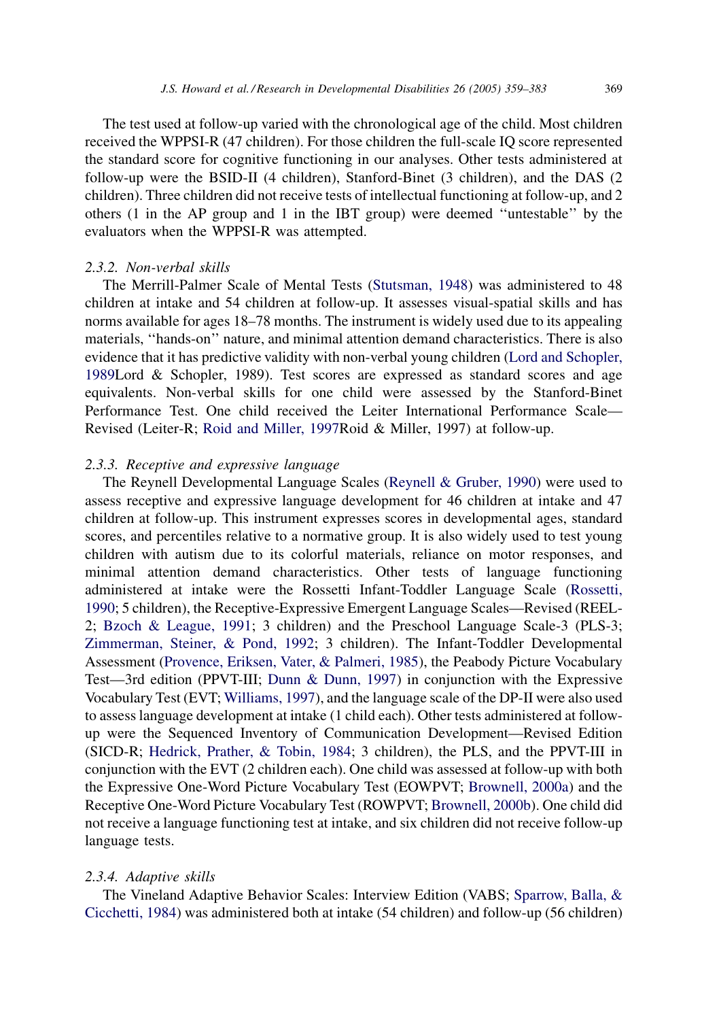The test used at follow-up varied with the chronological age of the child. Most children received the WPPSI-R (47 children). For those children the full-scale IQ score represented the standard score for cognitive functioning in our analyses. Other tests administered at follow-up were the BSID-II (4 children), Stanford-Binet (3 children), and the DAS (2 children). Three children did not receive tests of intellectual functioning at follow-up, and 2 others (1 in the AP group and 1 in the IBT group) were deemed ''untestable'' by the evaluators when the WPPSI-R was attempted.

#### 2.3.2. Non-verbal skills

The Merrill-Palmer Scale of Mental Tests ([Stutsman, 1948](#page-23-0)) was administered to 48 children at intake and 54 children at follow-up. It assesses visual-spatial skills and has norms available for ages 18–78 months. The instrument is widely used due to its appealing materials, ''hands-on'' nature, and minimal attention demand characteristics. There is also evidence that it has predictive validity with non-verbal young children [\(Lord and Schopler,](#page-22-0) [1989L](#page-22-0)ord & Schopler, 1989). Test scores are expressed as standard scores and age equivalents. Non-verbal skills for one child were assessed by the Stanford-Binet Performance Test. One child received the Leiter International Performance Scale— Revised (Leiter-R; [Roid and Miller, 1997](#page-23-0)Roid & Miller, 1997) at follow-up.

# 2.3.3. Receptive and expressive language

The Reynell Developmental Language Scales [\(Reynell & Gruber, 1990\)](#page-23-0) were used to assess receptive and expressive language development for 46 children at intake and 47 children at follow-up. This instrument expresses scores in developmental ages, standard scores, and percentiles relative to a normative group. It is also widely used to test young children with autism due to its colorful materials, reliance on motor responses, and minimal attention demand characteristics. Other tests of language functioning administered at intake were the Rossetti Infant-Toddler Language Scale ([Rossetti,](#page-23-0) [1990;](#page-23-0) 5 children), the Receptive-Expressive Emergent Language Scales—Revised (REEL-2; [Bzoch & League, 1991;](#page-21-0) 3 children) and the Preschool Language Scale-3 (PLS-3; [Zimmerman, Steiner, & Pond, 1992;](#page-24-0) 3 children). The Infant-Toddler Developmental Assessment ([Provence, Eriksen, Vater, & Palmeri, 1985](#page-23-0)), the Peabody Picture Vocabulary Test—3rd edition (PPVT-III; [Dunn & Dunn, 1997\)](#page-21-0) in conjunction with the Expressive Vocabulary Test (EVT; [Williams, 1997](#page-23-0)), and the language scale of the DP-II were also used to assess language development at intake (1 child each). Other tests administered at followup were the Sequenced Inventory of Communication Development—Revised Edition (SICD-R; [Hedrick, Prather, & Tobin, 1984](#page-22-0); 3 children), the PLS, and the PPVT-III in conjunction with the EVT (2 children each). One child was assessed at follow-up with both the Expressive One-Word Picture Vocabulary Test (EOWPVT; [Brownell, 2000a](#page-21-0)) and the Receptive One-Word Picture Vocabulary Test (ROWPVT; [Brownell, 2000b](#page-21-0)). One child did not receive a language functioning test at intake, and six children did not receive follow-up language tests.

# 2.3.4. Adaptive skills

The Vineland Adaptive Behavior Scales: Interview Edition (VABS; [Sparrow, Balla, &](#page-23-0) [Cicchetti, 1984\)](#page-23-0) was administered both at intake (54 children) and follow-up (56 children)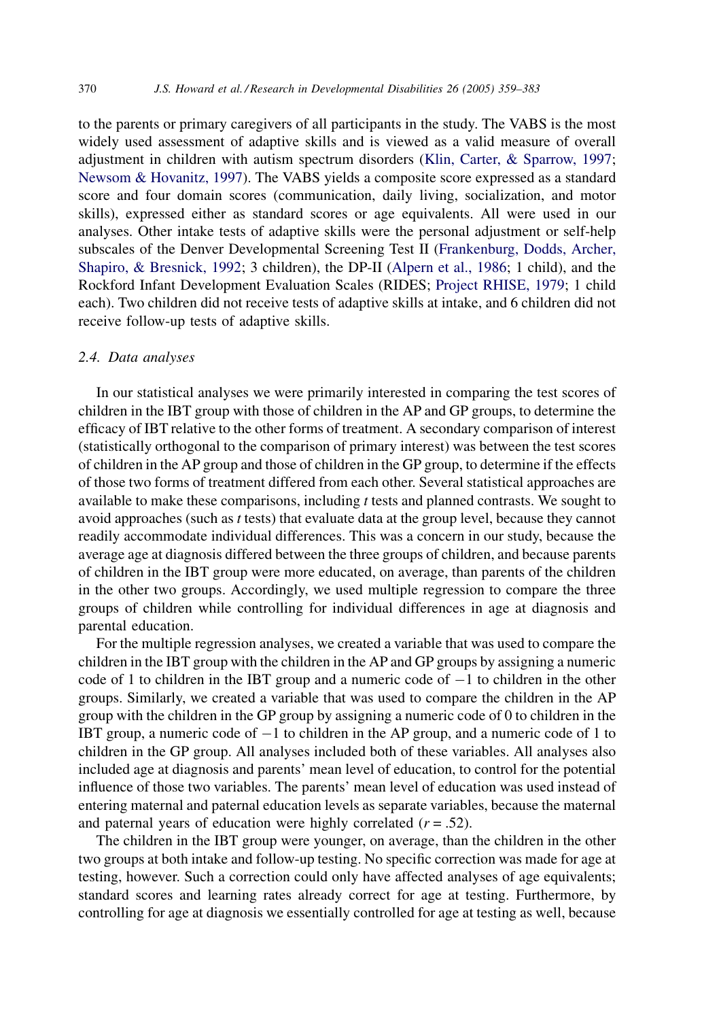to the parents or primary caregivers of all participants in the study. The VABS is the most widely used assessment of adaptive skills and is viewed as a valid measure of overall adjustment in children with autism spectrum disorders [\(Klin, Carter, & Sparrow, 1997](#page-22-0); [Newsom & Hovanitz, 1997\)](#page-22-0). The VABS yields a composite score expressed as a standard score and four domain scores (communication, daily living, socialization, and motor skills), expressed either as standard scores or age equivalents. All were used in our analyses. Other intake tests of adaptive skills were the personal adjustment or self-help subscales of the Denver Developmental Screening Test II ([Frankenburg, Dodds, Archer,](#page-22-0) [Shapiro, & Bresnick, 1992](#page-22-0); 3 children), the DP-II [\(Alpern et al., 1986](#page-21-0); 1 child), and the Rockford Infant Development Evaluation Scales (RIDES; [Project RHISE, 1979;](#page-23-0) 1 child each). Two children did not receive tests of adaptive skills at intake, and 6 children did not receive follow-up tests of adaptive skills.

#### 2.4. Data analyses

In our statistical analyses we were primarily interested in comparing the test scores of children in the IBT group with those of children in the AP and GP groups, to determine the efficacy of IBT relative to the other forms of treatment. A secondary comparison of interest (statistically orthogonal to the comparison of primary interest) was between the test scores of children in the AP group and those of children in the GP group, to determine if the effects of those two forms of treatment differed from each other. Several statistical approaches are available to make these comparisons, including t tests and planned contrasts. We sought to avoid approaches (such as t tests) that evaluate data at the group level, because they cannot readily accommodate individual differences. This was a concern in our study, because the average age at diagnosis differed between the three groups of children, and because parents of children in the IBT group were more educated, on average, than parents of the children in the other two groups. Accordingly, we used multiple regression to compare the three groups of children while controlling for individual differences in age at diagnosis and parental education.

For the multiple regression analyses, we created a variable that was used to compare the children in the IBT group with the children in the AP and GP groups by assigning a numeric code of 1 to children in the IBT group and a numeric code of  $-1$  to children in the other groups. Similarly, we created a variable that was used to compare the children in the AP group with the children in the GP group by assigning a numeric code of 0 to children in the IBT group, a numeric code of  $-1$  to children in the AP group, and a numeric code of 1 to children in the GP group. All analyses included both of these variables. All analyses also included age at diagnosis and parents' mean level of education, to control for the potential influence of those two variables. The parents' mean level of education was used instead of entering maternal and paternal education levels as separate variables, because the maternal and paternal years of education were highly correlated  $(r = .52)$ .

The children in the IBT group were younger, on average, than the children in the other two groups at both intake and follow-up testing. No specific correction was made for age at testing, however. Such a correction could only have affected analyses of age equivalents; standard scores and learning rates already correct for age at testing. Furthermore, by controlling for age at diagnosis we essentially controlled for age at testing as well, because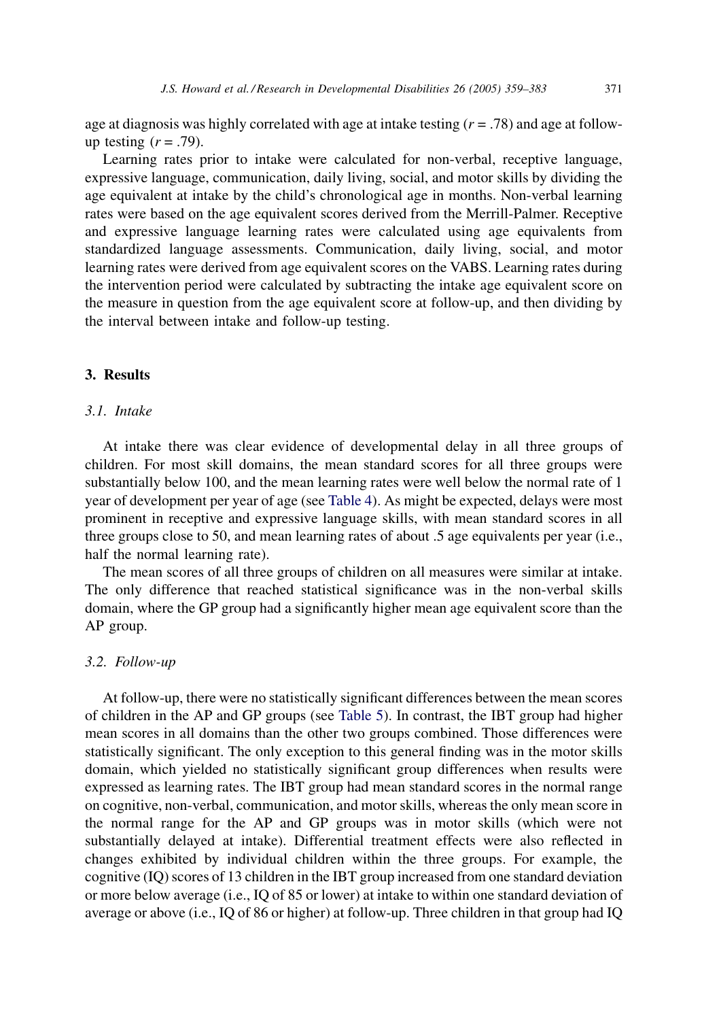age at diagnosis was highly correlated with age at intake testing  $(r = .78)$  and age at followup testing  $(r = .79)$ .

Learning rates prior to intake were calculated for non-verbal, receptive language, expressive language, communication, daily living, social, and motor skills by dividing the age equivalent at intake by the child's chronological age in months. Non-verbal learning rates were based on the age equivalent scores derived from the Merrill-Palmer. Receptive and expressive language learning rates were calculated using age equivalents from standardized language assessments. Communication, daily living, social, and motor learning rates were derived from age equivalent scores on the VABS. Learning rates during the intervention period were calculated by subtracting the intake age equivalent score on the measure in question from the age equivalent score at follow-up, and then dividing by the interval between intake and follow-up testing.

# 3. Results

# 3.1. Intake

At intake there was clear evidence of developmental delay in all three groups of children. For most skill domains, the mean standard scores for all three groups were substantially below 100, and the mean learning rates were well below the normal rate of 1 year of development per year of age (see [Table 4](#page-13-0)). As might be expected, delays were most prominent in receptive and expressive language skills, with mean standard scores in all three groups close to 50, and mean learning rates of about .5 age equivalents per year (i.e., half the normal learning rate).

The mean scores of all three groups of children on all measures were similar at intake. The only difference that reached statistical significance was in the non-verbal skills domain, where the GP group had a significantly higher mean age equivalent score than the AP group.

#### 3.2. Follow-up

At follow-up, there were no statistically significant differences between the mean scores of children in the AP and GP groups (see [Table 5\)](#page-14-0). In contrast, the IBT group had higher mean scores in all domains than the other two groups combined. Those differences were statistically significant. The only exception to this general finding was in the motor skills domain, which yielded no statistically significant group differences when results were expressed as learning rates. The IBT group had mean standard scores in the normal range on cognitive, non-verbal, communication, and motor skills, whereas the only mean score in the normal range for the AP and GP groups was in motor skills (which were not substantially delayed at intake). Differential treatment effects were also reflected in changes exhibited by individual children within the three groups. For example, the cognitive (IQ) scores of 13 children in the IBT group increased from one standard deviation or more below average (i.e., IQ of 85 or lower) at intake to within one standard deviation of average or above (i.e., IQ of 86 or higher) at follow-up. Three children in that group had IQ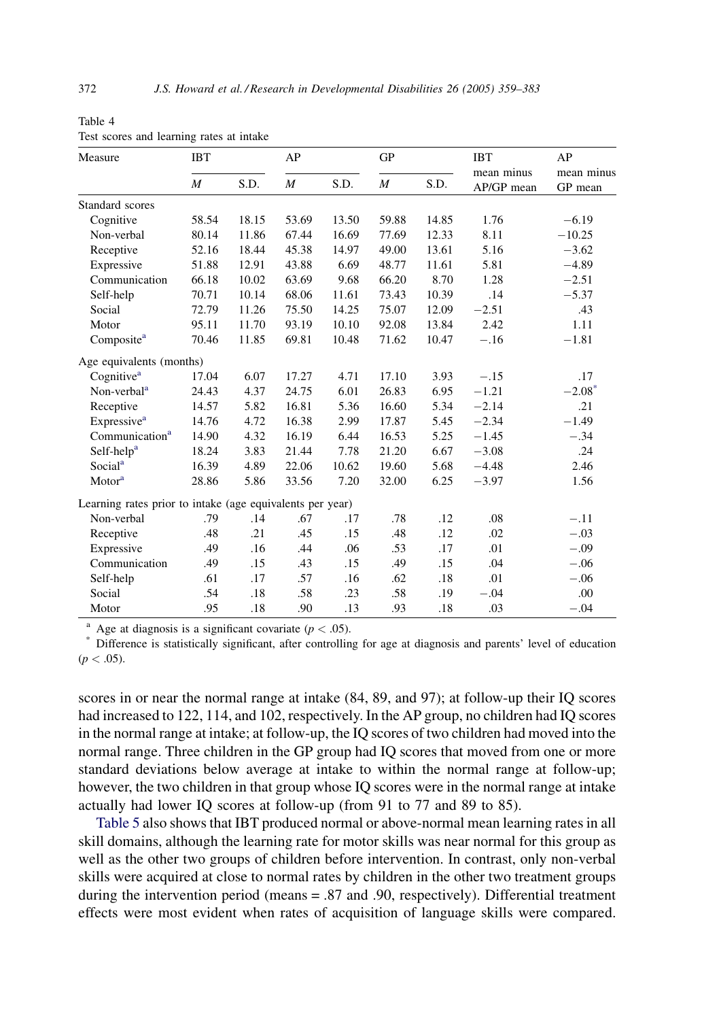| Measure                                                   | <b>IBT</b>       |       | AP               |       | GP               |       | <b>IBT</b><br>mean minus | AP<br>mean minus     |
|-----------------------------------------------------------|------------------|-------|------------------|-------|------------------|-------|--------------------------|----------------------|
|                                                           | $\boldsymbol{M}$ | S.D.  | $\boldsymbol{M}$ | S.D.  | $\boldsymbol{M}$ | S.D.  | AP/GP mean               | GP mean              |
| Standard scores                                           |                  |       |                  |       |                  |       |                          |                      |
| Cognitive                                                 | 58.54            | 18.15 | 53.69            | 13.50 | 59.88            | 14.85 | 1.76                     | $-6.19$              |
| Non-verbal                                                | 80.14            | 11.86 | 67.44            | 16.69 | 77.69            | 12.33 | 8.11                     | $-10.25$             |
| Receptive                                                 | 52.16            | 18.44 | 45.38            | 14.97 | 49.00            | 13.61 | 5.16                     | $-3.62$              |
| Expressive                                                | 51.88            | 12.91 | 43.88            | 6.69  | 48.77            | 11.61 | 5.81                     | $-4.89$              |
| Communication                                             | 66.18            | 10.02 | 63.69            | 9.68  | 66.20            | 8.70  | 1.28                     | $-2.51$              |
| Self-help                                                 | 70.71            | 10.14 | 68.06            | 11.61 | 73.43            | 10.39 | .14                      | $-5.37$              |
| Social                                                    | 72.79            | 11.26 | 75.50            | 14.25 | 75.07            | 12.09 | $-2.51$                  | .43                  |
| Motor                                                     | 95.11            | 11.70 | 93.19            | 10.10 | 92.08            | 13.84 | 2.42                     | 1.11                 |
| Composite <sup>a</sup>                                    | 70.46            | 11.85 | 69.81            | 10.48 | 71.62            | 10.47 | $-.16$                   | $-1.81$              |
| Age equivalents (months)                                  |                  |       |                  |       |                  |       |                          |                      |
| Cognitive <sup>a</sup>                                    | 17.04            | 6.07  | 17.27            | 4.71  | 17.10            | 3.93  | $-.15$                   | .17                  |
| Non-verbal <sup>a</sup>                                   | 24.43            | 4.37  | 24.75            | 6.01  | 26.83            | 6.95  | $-1.21$                  | $-2.08$ <sup>*</sup> |
| Receptive                                                 | 14.57            | 5.82  | 16.81            | 5.36  | 16.60            | 5.34  | $-2.14$                  | .21                  |
| Expressive <sup>a</sup>                                   | 14.76            | 4.72  | 16.38            | 2.99  | 17.87            | 5.45  | $-2.34$                  | $-1.49$              |
| Communication <sup>a</sup>                                | 14.90            | 4.32  | 16.19            | 6.44  | 16.53            | 5.25  | $-1.45$                  | $-.34$               |
| Self-help <sup>a</sup>                                    | 18.24            | 3.83  | 21.44            | 7.78  | 21.20            | 6.67  | $-3.08$                  | .24                  |
| Social <sup>a</sup>                                       | 16.39            | 4.89  | 22.06            | 10.62 | 19.60            | 5.68  | $-4.48$                  | 2.46                 |
| Motor <sup>a</sup>                                        | 28.86            | 5.86  | 33.56            | 7.20  | 32.00            | 6.25  | $-3.97$                  | 1.56                 |
| Learning rates prior to intake (age equivalents per year) |                  |       |                  |       |                  |       |                          |                      |
| Non-verbal                                                | .79              | .14   | .67              | .17   | .78              | .12   | .08                      | $-.11$               |
| Receptive                                                 | .48              | .21   | .45              | .15   | .48              | .12   | .02                      | $-.03$               |
| Expressive                                                | .49              | .16   | .44              | .06   | .53              | .17   | .01                      | $-.09$               |
| Communication                                             | .49              | .15   | .43              | .15   | .49              | .15   | .04                      | $-.06$               |
| Self-help                                                 | .61              | .17   | .57              | .16   | .62              | .18   | .01                      | $-.06$               |
| Social                                                    | .54              | .18   | .58              | .23   | .58              | .19   | $-.04$                   | .00                  |
| Motor                                                     | .95              | .18   | .90              | .13   | .93              | .18   | .03                      | $-.04$               |

<span id="page-13-0"></span>Table 4 Test scores and learning rates at intake

<sup>a</sup> Age at diagnosis is a significant covariate ( $p < .05$ ).<br>
<sup>\*</sup> Difference is statistically significant, after controlling for age at diagnosis and parents' level of education  $(p < .05)$ .

scores in or near the normal range at intake (84, 89, and 97); at follow-up their IQ scores had increased to 122, 114, and 102, respectively. In the AP group, no children had IQ scores in the normal range at intake; at follow-up, the IQ scores of two children had moved into the normal range. Three children in the GP group had IQ scores that moved from one or more standard deviations below average at intake to within the normal range at follow-up; however, the two children in that group whose IQ scores were in the normal range at intake actually had lower IQ scores at follow-up (from 91 to 77 and 89 to 85).

[Table 5](#page-14-0) also shows that IBT produced normal or above-normal mean learning rates in all skill domains, although the learning rate for motor skills was near normal for this group as well as the other two groups of children before intervention. In contrast, only non-verbal skills were acquired at close to normal rates by children in the other two treatment groups during the intervention period (means = .87 and .90, respectively). Differential treatment effects were most evident when rates of acquisition of language skills were compared.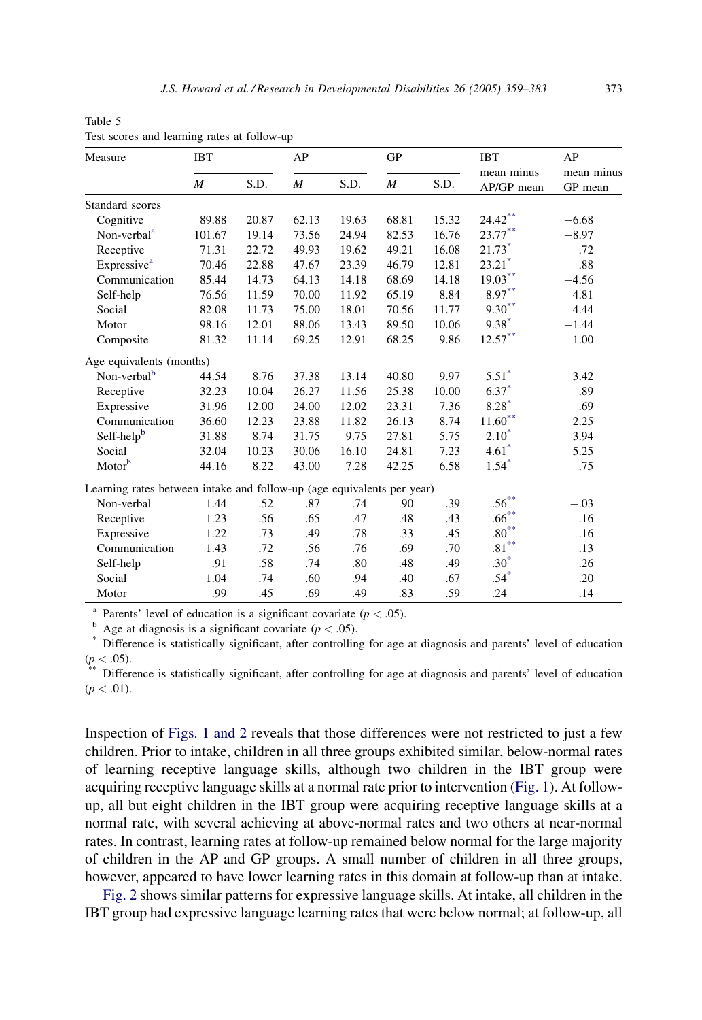| Measure                                                                | <b>IBT</b> |       | AP               |       | <b>GP</b> |       | <b>IBT</b><br>mean minus | AP<br>mean minus |
|------------------------------------------------------------------------|------------|-------|------------------|-------|-----------|-------|--------------------------|------------------|
|                                                                        | M          | S.D.  | $\boldsymbol{M}$ | S.D.  | M         | S.D.  | AP/GP mean               | GP mean          |
| Standard scores                                                        |            |       |                  |       |           |       |                          |                  |
| Cognitive                                                              | 89.88      | 20.87 | 62.13            | 19.63 | 68.81     | 15.32 | $24.42***$               | $-6.68$          |
| Non-verbal <sup>a</sup>                                                | 101.67     | 19.14 | 73.56            | 24.94 | 82.53     | 16.76 | $23.77***$               | $-8.97$          |
| Receptive                                                              | 71.31      | 22.72 | 49.93            | 19.62 | 49.21     | 16.08 | $21.73*$                 | .72              |
| Expressive <sup>a</sup>                                                | 70.46      | 22.88 | 47.67            | 23.39 | 46.79     | 12.81 | $23.21$ <sup>*</sup>     | .88              |
| Communication                                                          | 85.44      | 14.73 | 64.13            | 14.18 | 68.69     | 14.18 | $19.03***$               | $-4.56$          |
| Self-help                                                              | 76.56      | 11.59 | 70.00            | 11.92 | 65.19     | 8.84  | $8.97***$                | 4.81             |
| Social                                                                 | 82.08      | 11.73 | 75.00            | 18.01 | 70.56     | 11.77 | $9.30***$                | 4.44             |
| Motor                                                                  | 98.16      | 12.01 | 88.06            | 13.43 | 89.50     | 10.06 | $9.38*$                  | $-1.44$          |
| Composite                                                              | 81.32      | 11.14 | 69.25            | 12.91 | 68.25     | 9.86  | $12.57***$               | 1.00             |
| Age equivalents (months)                                               |            |       |                  |       |           |       |                          |                  |
| Non-verbal <sup>b</sup>                                                | 44.54      | 8.76  | 37.38            | 13.14 | 40.80     | 9.97  | $5.51*$                  | $-3.42$          |
| Receptive                                                              | 32.23      | 10.04 | 26.27            | 11.56 | 25.38     | 10.00 | $6.37*$                  | .89              |
| Expressive                                                             | 31.96      | 12.00 | 24.00            | 12.02 | 23.31     | 7.36  | $8.28*$                  | .69              |
| Communication                                                          | 36.60      | 12.23 | 23.88            | 11.82 | 26.13     | 8.74  | $11.60***$               | $-2.25$          |
| Self-help <sup>b</sup>                                                 | 31.88      | 8.74  | 31.75            | 9.75  | 27.81     | 5.75  | $2.10*$                  | 3.94             |
| Social                                                                 | 32.04      | 10.23 | 30.06            | 16.10 | 24.81     | 7.23  | $4.61*$                  | 5.25             |
| Motorb                                                                 | 44.16      | 8.22  | 43.00            | 7.28  | 42.25     | 6.58  | $1.54$ <sup>*</sup>      | .75              |
| Learning rates between intake and follow-up (age equivalents per year) |            |       |                  |       |           |       |                          |                  |
| Non-verbal                                                             | 1.44       | .52   | .87              | .74   | .90       | .39   | $.56***$                 | $-.03$           |
| Receptive                                                              | 1.23       | .56   | .65              | .47   | .48       | .43   | $.66^{**}$               | .16              |
| Expressive                                                             | 1.22       | .73   | .49              | .78   | .33       | .45   | $.80^{\ast\ast}$         | .16              |
| Communication                                                          | 1.43       | .72   | .56              | .76   | .69       | .70   | $.81^{\ast\ast}$         | $-.13$           |
| Self-help                                                              | .91        | .58   | .74              | .80   | .48       | .49   | $.30*$                   | .26              |
| Social                                                                 | 1.04       | .74   | .60              | .94   | .40       | .67   | $.54*$                   | .20              |
| Motor                                                                  | .99        | .45   | .69              | .49   | .83       | .59   | .24                      | $-.14$           |

<span id="page-14-0"></span>Table 5 Test scores and learning rates at follow-up

<sup>a</sup> Parents' level of education is a significant covariate  $(p < .05)$ .<br>
<sup>b</sup> Age at diagnosis is a significant covariate  $(p < .05)$ .<br>
<sup>\*</sup> Difference is statistically significant, after controlling for age at diagnosis and pare  $(p < .05)$ .<br><sup>\*\*</sup> Difference is statistically significant, after controlling for age at diagnosis and parents' level of education

 $(p < .01)$ .

Inspection of [Figs. 1 and 2](#page-15-0) reveals that those differences were not restricted to just a few children. Prior to intake, children in all three groups exhibited similar, below-normal rates of learning receptive language skills, although two children in the IBT group were acquiring receptive language skills at a normal rate prior to intervention ([Fig. 1](#page-15-0)). At followup, all but eight children in the IBT group were acquiring receptive language skills at a normal rate, with several achieving at above-normal rates and two others at near-normal rates. In contrast, learning rates at follow-up remained below normal for the large majority of children in the AP and GP groups. A small number of children in all three groups, however, appeared to have lower learning rates in this domain at follow-up than at intake.

[Fig. 2](#page-15-0) shows similar patterns for expressive language skills. At intake, all children in the IBT group had expressive language learning rates that were below normal; at follow-up, all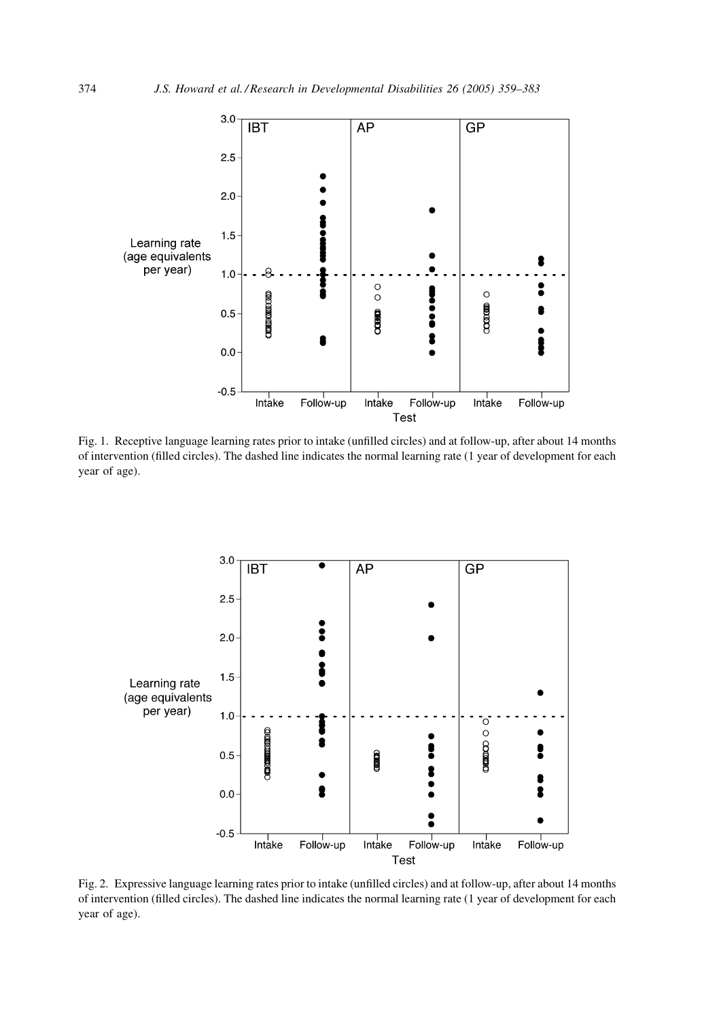<span id="page-15-0"></span>

Fig. 1. Receptive language learning rates prior to intake (unfilled circles) and at follow-up, after about 14 months of intervention (filled circles). The dashed line indicates the normal learning rate (1 year of development for each year of age).



Fig. 2. Expressive language learning rates prior to intake (unfilled circles) and at follow-up, after about 14 months of intervention (filled circles). The dashed line indicates the normal learning rate (1 year of development for each year of age).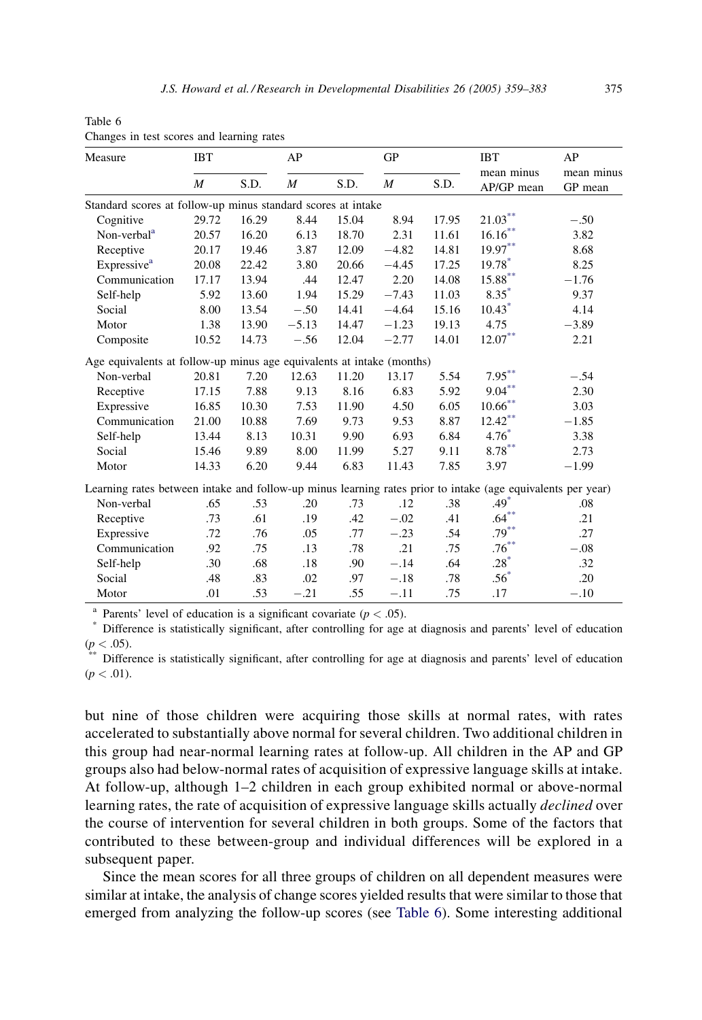| Measure                                                                                                     | <b>IBT</b>       |       | AP               |       | <b>GP</b>        |       | <b>IBT</b>               | AP                    |
|-------------------------------------------------------------------------------------------------------------|------------------|-------|------------------|-------|------------------|-------|--------------------------|-----------------------|
|                                                                                                             | $\boldsymbol{M}$ | S.D.  | $\boldsymbol{M}$ | S.D.  | $\boldsymbol{M}$ | S.D.  | mean minus<br>AP/GP mean | mean minus<br>GP mean |
| Standard scores at follow-up minus standard scores at intake                                                |                  |       |                  |       |                  |       |                          |                       |
| Cognitive                                                                                                   | 29.72            | 16.29 | 8.44             | 15.04 | 8.94             | 17.95 | $21.03***$               | $-.50$                |
| Non-verbal <sup>a</sup>                                                                                     | 20.57            | 16.20 | 6.13             | 18.70 | 2.31             | 11.61 | $16.16***$               | 3.82                  |
| Receptive                                                                                                   | 20.17            | 19.46 | 3.87             | 12.09 | $-4.82$          | 14.81 | $19.97***$               | 8.68                  |
| Expressive <sup>a</sup>                                                                                     | 20.08            | 22.42 | 3.80             | 20.66 | $-4.45$          | 17.25 | 19.78*                   | 8.25                  |
| Communication                                                                                               | 17.17            | 13.94 | .44              | 12.47 | 2.20             | 14.08 | $15.88***$               | $-1.76$               |
| Self-help                                                                                                   | 5.92             | 13.60 | 1.94             | 15.29 | $-7.43$          | 11.03 | $8.35*$                  | 9.37                  |
| Social                                                                                                      | 8.00             | 13.54 | $-.50$           | 14.41 | $-4.64$          | 15.16 | $10.43*$                 | 4.14                  |
| Motor                                                                                                       | 1.38             | 13.90 | $-5.13$          | 14.47 | $-1.23$          | 19.13 | 4.75                     | $-3.89$               |
| Composite                                                                                                   | 10.52            | 14.73 | $-.56$           | 12.04 | $-2.77$          | 14.01 | $12.07***$               | 2.21                  |
| Age equivalents at follow-up minus age equivalents at intake (months)                                       |                  |       |                  |       |                  |       |                          |                       |
| Non-verbal                                                                                                  | 20.81            | 7.20  | 12.63            | 11.20 | 13.17            | 5.54  | $7.95***$                | $-.54$                |
| Receptive                                                                                                   | 17.15            | 7.88  | 9.13             | 8.16  | 6.83             | 5.92  | $9.04***$                | 2.30                  |
| Expressive                                                                                                  | 16.85            | 10.30 | 7.53             | 11.90 | 4.50             | 6.05  | $10.66^{\ast\ast}$       | 3.03                  |
| Communication                                                                                               | 21.00            | 10.88 | 7.69             | 9.73  | 9.53             | 8.87  | $12.42$ **               | $-1.85$               |
| Self-help                                                                                                   | 13.44            | 8.13  | 10.31            | 9.90  | 6.93             | 6.84  | $4.76*$                  | 3.38                  |
| Social                                                                                                      | 15.46            | 9.89  | 8.00             | 11.99 | 5.27             | 9.11  | $8.78^{\ast\ast}$        | 2.73                  |
| Motor                                                                                                       | 14.33            | 6.20  | 9.44             | 6.83  | 11.43            | 7.85  | 3.97                     | $-1.99$               |
| Learning rates between intake and follow-up minus learning rates prior to intake (age equivalents per year) |                  |       |                  |       |                  |       |                          |                       |
| Non-verbal                                                                                                  | .65              | .53   | .20              | .73   | .12              | .38   | $.49*$                   | .08                   |
| Receptive                                                                                                   | .73              | .61   | .19              | .42   | $-.02$           | .41   | $.64***$                 | .21                   |
| Expressive                                                                                                  | .72              | .76   | .05              | .77   | $-.23$           | .54   | $.79***$                 | .27                   |
| Communication                                                                                               | .92              | .75   | .13              | .78   | .21              | .75   | $.76^{**}$               | $-.08$                |
| Self-help                                                                                                   | .30              | .68   | .18              | .90   | $-.14$           | .64   | $.28*$                   | .32                   |
| Social                                                                                                      | .48              | .83   | .02              | .97   | $-.18$           | .78   | $.56*$                   | .20                   |
| Motor                                                                                                       | .01              | .53   | $-.21$           | .55   | $-.11$           | .75   | .17                      | $-.10$                |

<span id="page-16-0"></span>Table 6 Changes in test scores and learning rates

<sup>a</sup> Parents' level of education is a significant covariate ( $p < .05$ ).<br><sup>\*</sup> Difference is statistically significant, after controlling for age at diagnosis and parents' level of education

 $(p < .05)$ .<br><sup>\*\*</sup> Difference is statistically significant, after controlling for age at diagnosis and parents' level of education  $(p < .01)$ .

but nine of those children were acquiring those skills at normal rates, with rates accelerated to substantially above normal for several children. Two additional children in this group had near-normal learning rates at follow-up. All children in the AP and GP groups also had below-normal rates of acquisition of expressive language skills at intake. At follow-up, although 1–2 children in each group exhibited normal or above-normal learning rates, the rate of acquisition of expressive language skills actually *declined* over the course of intervention for several children in both groups. Some of the factors that contributed to these between-group and individual differences will be explored in a subsequent paper.

Since the mean scores for all three groups of children on all dependent measures were similar at intake, the analysis of change scores yielded results that were similar to those that emerged from analyzing the follow-up scores (see Table 6). Some interesting additional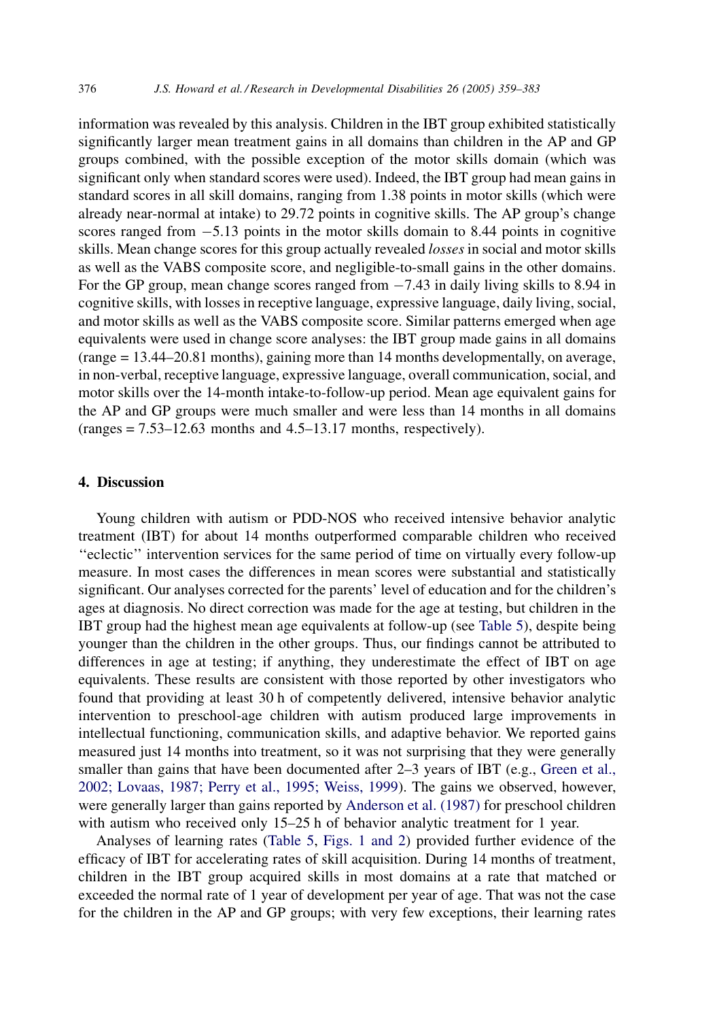information was revealed by this analysis. Children in the IBT group exhibited statistically significantly larger mean treatment gains in all domains than children in the AP and GP groups combined, with the possible exception of the motor skills domain (which was significant only when standard scores were used). Indeed, the IBT group had mean gains in standard scores in all skill domains, ranging from 1.38 points in motor skills (which were already near-normal at intake) to 29.72 points in cognitive skills. The AP group's change scores ranged from  $-5.13$  points in the motor skills domain to 8.44 points in cognitive skills. Mean change scores for this group actually revealed losses in social and motor skills as well as the VABS composite score, and negligible-to-small gains in the other domains. For the GP group, mean change scores ranged from  $-7.43$  in daily living skills to 8.94 in cognitive skills, with losses in receptive language, expressive language, daily living, social, and motor skills as well as the VABS composite score. Similar patterns emerged when age equivalents were used in change score analyses: the IBT group made gains in all domains (range = 13.44–20.81 months), gaining more than 14 months developmentally, on average, in non-verbal, receptive language, expressive language, overall communication, social, and motor skills over the 14-month intake-to-follow-up period. Mean age equivalent gains for the AP and GP groups were much smaller and were less than 14 months in all domains  $(range = 7.53 - 12.63$  months and 4.5-13.17 months, respectively).

# 4. Discussion

Young children with autism or PDD-NOS who received intensive behavior analytic treatment (IBT) for about 14 months outperformed comparable children who received ''eclectic'' intervention services for the same period of time on virtually every follow-up measure. In most cases the differences in mean scores were substantial and statistically significant. Our analyses corrected for the parents' level of education and for the children's ages at diagnosis. No direct correction was made for the age at testing, but children in the IBT group had the highest mean age equivalents at follow-up (see [Table 5](#page-14-0)), despite being younger than the children in the other groups. Thus, our findings cannot be attributed to differences in age at testing; if anything, they underestimate the effect of IBT on age equivalents. These results are consistent with those reported by other investigators who found that providing at least 30 h of competently delivered, intensive behavior analytic intervention to preschool-age children with autism produced large improvements in intellectual functioning, communication skills, and adaptive behavior. We reported gains measured just 14 months into treatment, so it was not surprising that they were generally smaller than gains that have been documented after 2–3 years of IBT (e.g., [Green et al.,](#page-22-0) [2002; Lovaas, 1987; Perry et al., 1995; Weiss, 1999\)](#page-22-0). The gains we observed, however, were generally larger than gains reported by [Anderson et al. \(1987\)](#page-21-0) for preschool children with autism who received only 15–25 h of behavior analytic treatment for 1 year.

Analyses of learning rates ([Table 5,](#page-14-0) [Figs. 1 and 2\)](#page-15-0) provided further evidence of the efficacy of IBT for accelerating rates of skill acquisition. During 14 months of treatment, children in the IBT group acquired skills in most domains at a rate that matched or exceeded the normal rate of 1 year of development per year of age. That was not the case for the children in the AP and GP groups; with very few exceptions, their learning rates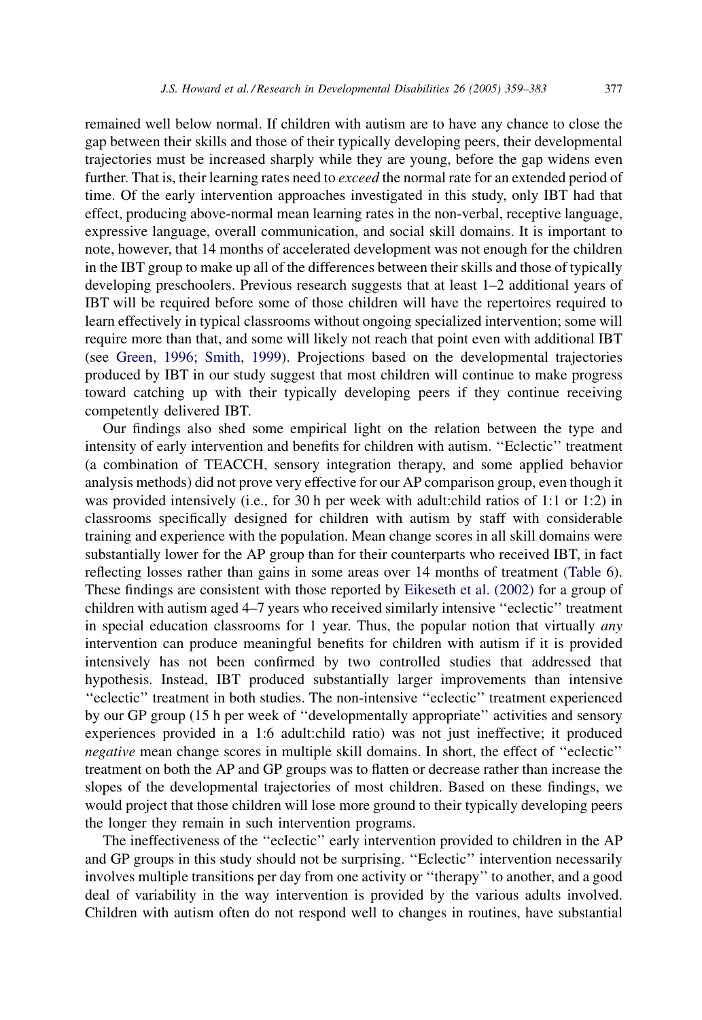remained well below normal. If children with autism are to have any chance to close the gap between their skills and those of their typically developing peers, their developmental trajectories must be increased sharply while they are young, before the gap widens even further. That is, their learning rates need to *exceed* the normal rate for an extended period of time. Of the early intervention approaches investigated in this study, only IBT had that effect, producing above-normal mean learning rates in the non-verbal, receptive language, expressive language, overall communication, and social skill domains. It is important to note, however, that 14 months of accelerated development was not enough for the children in the IBT group to make up all of the differences between their skills and those of typically developing preschoolers. Previous research suggests that at least 1–2 additional years of IBT will be required before some of those children will have the repertoires required to learn effectively in typical classrooms without ongoing specialized intervention; some will require more than that, and some will likely not reach that point even with additional IBT (see [Green, 1996; Smith, 1999\)](#page-22-0). Projections based on the developmental trajectories produced by IBT in our study suggest that most children will continue to make progress toward catching up with their typically developing peers if they continue receiving competently delivered IBT.

Our findings also shed some empirical light on the relation between the type and intensity of early intervention and benefits for children with autism. ''Eclectic'' treatment (a combination of TEACCH, sensory integration therapy, and some applied behavior analysis methods) did not prove very effective for our AP comparison group, even though it was provided intensively (i.e., for 30 h per week with adult:child ratios of 1:1 or 1:2) in classrooms specifically designed for children with autism by staff with considerable training and experience with the population. Mean change scores in all skill domains were substantially lower for the AP group than for their counterparts who received IBT, in fact reflecting losses rather than gains in some areas over 14 months of treatment [\(Table 6\)](#page-16-0). These findings are consistent with those reported by [Eikeseth et al. \(2002\)](#page-21-0) for a group of children with autism aged 4–7 years who received similarly intensive ''eclectic'' treatment in special education classrooms for 1 year. Thus, the popular notion that virtually *any* intervention can produce meaningful benefits for children with autism if it is provided intensively has not been confirmed by two controlled studies that addressed that hypothesis. Instead, IBT produced substantially larger improvements than intensive ''eclectic'' treatment in both studies. The non-intensive ''eclectic'' treatment experienced by our GP group (15 h per week of ''developmentally appropriate'' activities and sensory experiences provided in a 1:6 adult:child ratio) was not just ineffective; it produced negative mean change scores in multiple skill domains. In short, the effect of ''eclectic'' treatment on both the AP and GP groups was to flatten or decrease rather than increase the slopes of the developmental trajectories of most children. Based on these findings, we would project that those children will lose more ground to their typically developing peers the longer they remain in such intervention programs.

The ineffectiveness of the ''eclectic'' early intervention provided to children in the AP and GP groups in this study should not be surprising. ''Eclectic'' intervention necessarily involves multiple transitions per day from one activity or ''therapy'' to another, and a good deal of variability in the way intervention is provided by the various adults involved. Children with autism often do not respond well to changes in routines, have substantial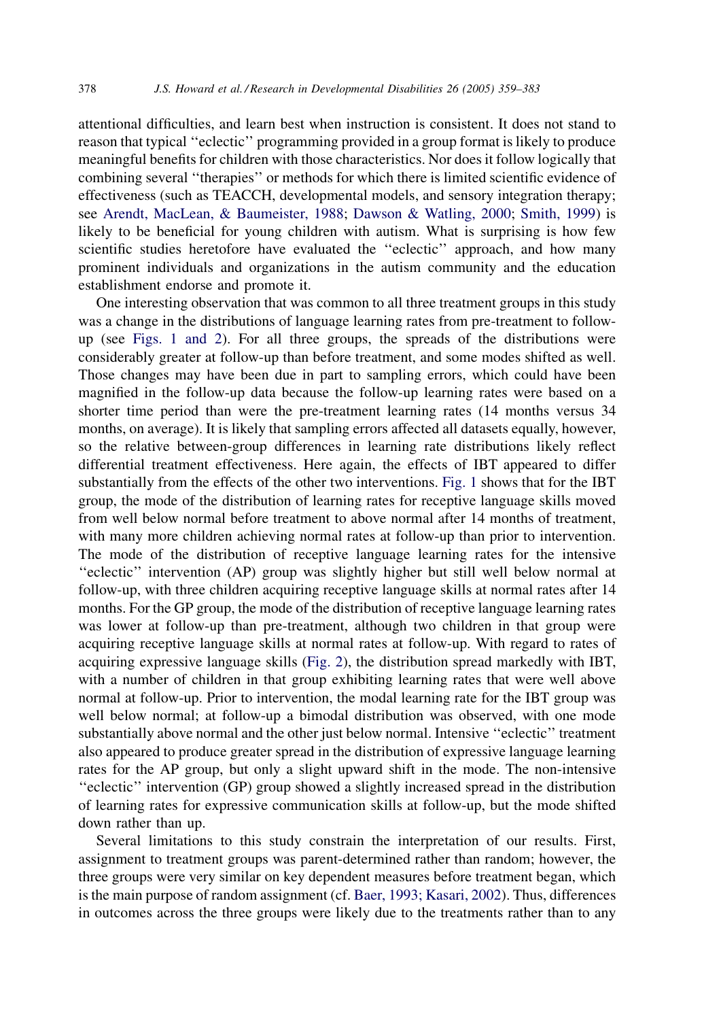attentional difficulties, and learn best when instruction is consistent. It does not stand to reason that typical ''eclectic'' programming provided in a group format is likely to produce meaningful benefits for children with those characteristics. Nor does it follow logically that combining several ''therapies'' or methods for which there is limited scientific evidence of effectiveness (such as TEACCH, developmental models, and sensory integration therapy; see [Arendt, MacLean, & Baumeister, 1988](#page-21-0); [Dawson & Watling, 2000;](#page-21-0) [Smith, 1999](#page-23-0)) is likely to be beneficial for young children with autism. What is surprising is how few scientific studies heretofore have evaluated the ''eclectic'' approach, and how many prominent individuals and organizations in the autism community and the education establishment endorse and promote it.

One interesting observation that was common to all three treatment groups in this study was a change in the distributions of language learning rates from pre-treatment to followup (see [Figs. 1 and 2](#page-15-0)). For all three groups, the spreads of the distributions were considerably greater at follow-up than before treatment, and some modes shifted as well. Those changes may have been due in part to sampling errors, which could have been magnified in the follow-up data because the follow-up learning rates were based on a shorter time period than were the pre-treatment learning rates (14 months versus 34 months, on average). It is likely that sampling errors affected all datasets equally, however, so the relative between-group differences in learning rate distributions likely reflect differential treatment effectiveness. Here again, the effects of IBT appeared to differ substantially from the effects of the other two interventions. [Fig. 1](#page-15-0) shows that for the IBT group, the mode of the distribution of learning rates for receptive language skills moved from well below normal before treatment to above normal after 14 months of treatment, with many more children achieving normal rates at follow-up than prior to intervention. The mode of the distribution of receptive language learning rates for the intensive ''eclectic'' intervention (AP) group was slightly higher but still well below normal at follow-up, with three children acquiring receptive language skills at normal rates after 14 months. For the GP group, the mode of the distribution of receptive language learning rates was lower at follow-up than pre-treatment, although two children in that group were acquiring receptive language skills at normal rates at follow-up. With regard to rates of acquiring expressive language skills ([Fig. 2\)](#page-15-0), the distribution spread markedly with IBT, with a number of children in that group exhibiting learning rates that were well above normal at follow-up. Prior to intervention, the modal learning rate for the IBT group was well below normal; at follow-up a bimodal distribution was observed, with one mode substantially above normal and the other just below normal. Intensive ''eclectic'' treatment also appeared to produce greater spread in the distribution of expressive language learning rates for the AP group, but only a slight upward shift in the mode. The non-intensive ''eclectic'' intervention (GP) group showed a slightly increased spread in the distribution of learning rates for expressive communication skills at follow-up, but the mode shifted down rather than up.

Several limitations to this study constrain the interpretation of our results. First, assignment to treatment groups was parent-determined rather than random; however, the three groups were very similar on key dependent measures before treatment began, which is the main purpose of random assignment (cf. [Baer, 1993; Kasari, 2002](#page-21-0)). Thus, differences in outcomes across the three groups were likely due to the treatments rather than to any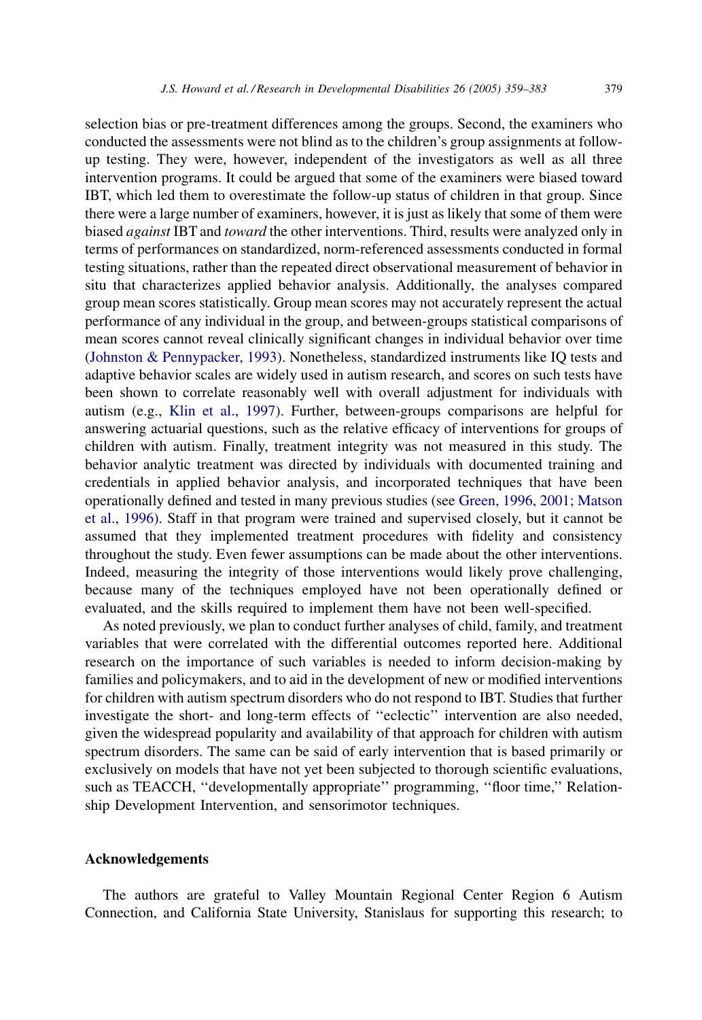selection bias or pre-treatment differences among the groups. Second, the examiners who conducted the assessments were not blind as to the children's group assignments at followup testing. They were, however, independent of the investigators as well as all three intervention programs. It could be argued that some of the examiners were biased toward IBT, which led them to overestimate the follow-up status of children in that group. Since there were a large number of examiners, however, it is just as likely that some of them were biased against IBT and toward the other interventions. Third, results were analyzed only in terms of performances on standardized, norm-referenced assessments conducted in formal testing situations, rather than the repeated direct observational measurement of behavior in situ that characterizes applied behavior analysis. Additionally, the analyses compared group mean scores statistically. Group mean scores may not accurately represent the actual performance of any individual in the group, and between-groups statistical comparisons of mean scores cannot reveal clinically significant changes in individual behavior over time [\(Johnston & Pennypacker, 1993\)](#page-22-0). Nonetheless, standardized instruments like IQ tests and adaptive behavior scales are widely used in autism research, and scores on such tests have been shown to correlate reasonably well with overall adjustment for individuals with autism (e.g., [Klin et al., 1997\)](#page-22-0). Further, between-groups comparisons are helpful for answering actuarial questions, such as the relative efficacy of interventions for groups of children with autism. Finally, treatment integrity was not measured in this study. The behavior analytic treatment was directed by individuals with documented training and credentials in applied behavior analysis, and incorporated techniques that have been operationally defined and tested in many previous studies (see [Green, 1996, 2001; Matson](#page-22-0) [et al., 1996\)](#page-22-0). Staff in that program were trained and supervised closely, but it cannot be assumed that they implemented treatment procedures with fidelity and consistency throughout the study. Even fewer assumptions can be made about the other interventions. Indeed, measuring the integrity of those interventions would likely prove challenging, because many of the techniques employed have not been operationally defined or evaluated, and the skills required to implement them have not been well-specified.

As noted previously, we plan to conduct further analyses of child, family, and treatment variables that were correlated with the differential outcomes reported here. Additional research on the importance of such variables is needed to inform decision-making by families and policymakers, and to aid in the development of new or modified interventions for children with autism spectrum disorders who do not respond to IBT. Studies that further investigate the short- and long-term effects of ''eclectic'' intervention are also needed, given the widespread popularity and availability of that approach for children with autism spectrum disorders. The same can be said of early intervention that is based primarily or exclusively on models that have not yet been subjected to thorough scientific evaluations, such as TEACCH, ''developmentally appropriate'' programming, ''floor time,'' Relationship Development Intervention, and sensorimotor techniques.

## Acknowledgements

The authors are grateful to Valley Mountain Regional Center Region 6 Autism Connection, and California State University, Stanislaus for supporting this research; to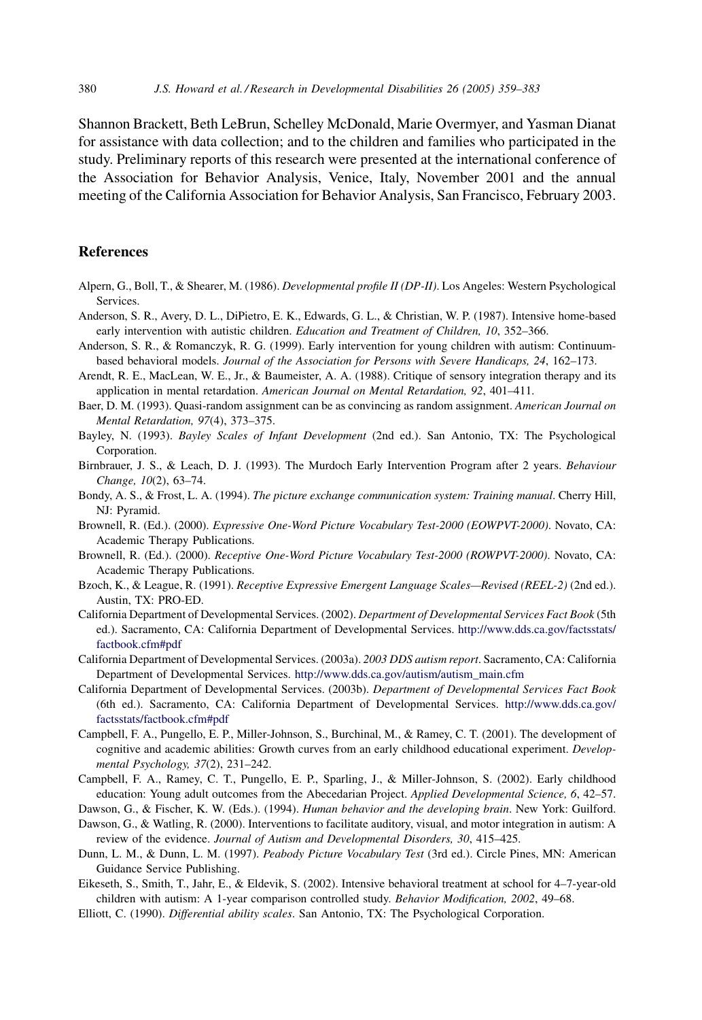<span id="page-21-0"></span>Shannon Brackett, Beth LeBrun, Schelley McDonald, Marie Overmyer, and Yasman Dianat for assistance with data collection; and to the children and families who participated in the study. Preliminary reports of this research were presented at the international conference of the Association for Behavior Analysis, Venice, Italy, November 2001 and the annual meeting of the California Association for Behavior Analysis, San Francisco, February 2003.

# References

- Alpern, G., Boll, T., & Shearer, M. (1986). Developmental profile II (DP-II). Los Angeles: Western Psychological Services.
- Anderson, S. R., Avery, D. L., DiPietro, E. K., Edwards, G. L., & Christian, W. P. (1987). Intensive home-based early intervention with autistic children. Education and Treatment of Children, 10, 352-366.
- Anderson, S. R., & Romanczyk, R. G. (1999). Early intervention for young children with autism: Continuumbased behavioral models. Journal of the Association for Persons with Severe Handicaps, 24, 162–173.
- Arendt, R. E., MacLean, W. E., Jr., & Baumeister, A. A. (1988). Critique of sensory integration therapy and its application in mental retardation. American Journal on Mental Retardation, 92, 401–411.
- Baer, D. M. (1993). Quasi-random assignment can be as convincing as random assignment. American Journal on Mental Retardation, 97(4), 373–375.
- Bayley, N. (1993). Bayley Scales of Infant Development (2nd ed.). San Antonio, TX: The Psychological Corporation.
- Birnbrauer, J. S., & Leach, D. J. (1993). The Murdoch Early Intervention Program after 2 years. Behaviour Change, 10(2), 63–74.
- Bondy, A. S., & Frost, L. A. (1994). The picture exchange communication system: Training manual. Cherry Hill, NJ: Pyramid.
- Brownell, R. (Ed.). (2000). Expressive One-Word Picture Vocabulary Test-2000 (EOWPVT-2000). Novato, CA: Academic Therapy Publications.
- Brownell, R. (Ed.). (2000). Receptive One-Word Picture Vocabulary Test-2000 (ROWPVT-2000). Novato, CA: Academic Therapy Publications.
- Bzoch, K., & League, R. (1991). Receptive Expressive Emergent Language Scales—Revised (REEL-2) (2nd ed.). Austin, TX: PRO-ED.
- California Department of Developmental Services. (2002). Department of Developmental Services Fact Book (5th ed.). Sacramento, CA: California Department of Developmental Services. [http://www.dds.ca.gov/factsstats/](http://www.dds.ca.gov/factsstats/factbook.cfm) [factbook.cfm#pdf](http://www.dds.ca.gov/factsstats/factbook.cfm)
- California Department of Developmental Services. (2003a). 2003 DDS autism report. Sacramento, CA: California Department of Developmental Services. [http://www.dds.ca.gov/autism/autism\\_main.cfm](http://www.dds.ca.gov/autism/autism_main.cfm)
- California Department of Developmental Services. (2003b). Department of Developmental Services Fact Book (6th ed.). Sacramento, CA: California Department of Developmental Services. [http://www.dds.ca.gov/](http://www.dds.ca.gov/factsstats/factbook.cfm) [factsstats/factbook.cfm#pdf](http://www.dds.ca.gov/factsstats/factbook.cfm)
- Campbell, F. A., Pungello, E. P., Miller-Johnson, S., Burchinal, M., & Ramey, C. T. (2001). The development of cognitive and academic abilities: Growth curves from an early childhood educational experiment. Developmental Psychology, 37(2), 231–242.
- Campbell, F. A., Ramey, C. T., Pungello, E. P., Sparling, J., & Miller-Johnson, S. (2002). Early childhood education: Young adult outcomes from the Abecedarian Project. Applied Developmental Science, 6, 42–57.
- Dawson, G., & Fischer, K. W. (Eds.). (1994). Human behavior and the developing brain. New York: Guilford.
- Dawson, G., & Watling, R. (2000). Interventions to facilitate auditory, visual, and motor integration in autism: A review of the evidence. Journal of Autism and Developmental Disorders, 30, 415–425.
- Dunn, L. M., & Dunn, L. M. (1997). Peabody Picture Vocabulary Test (3rd ed.). Circle Pines, MN: American Guidance Service Publishing.
- Eikeseth, S., Smith, T., Jahr, E., & Eldevik, S. (2002). Intensive behavioral treatment at school for 4–7-year-old children with autism: A 1-year comparison controlled study. Behavior Modification, 2002, 49–68.
- Elliott, C. (1990). Differential ability scales. San Antonio, TX: The Psychological Corporation.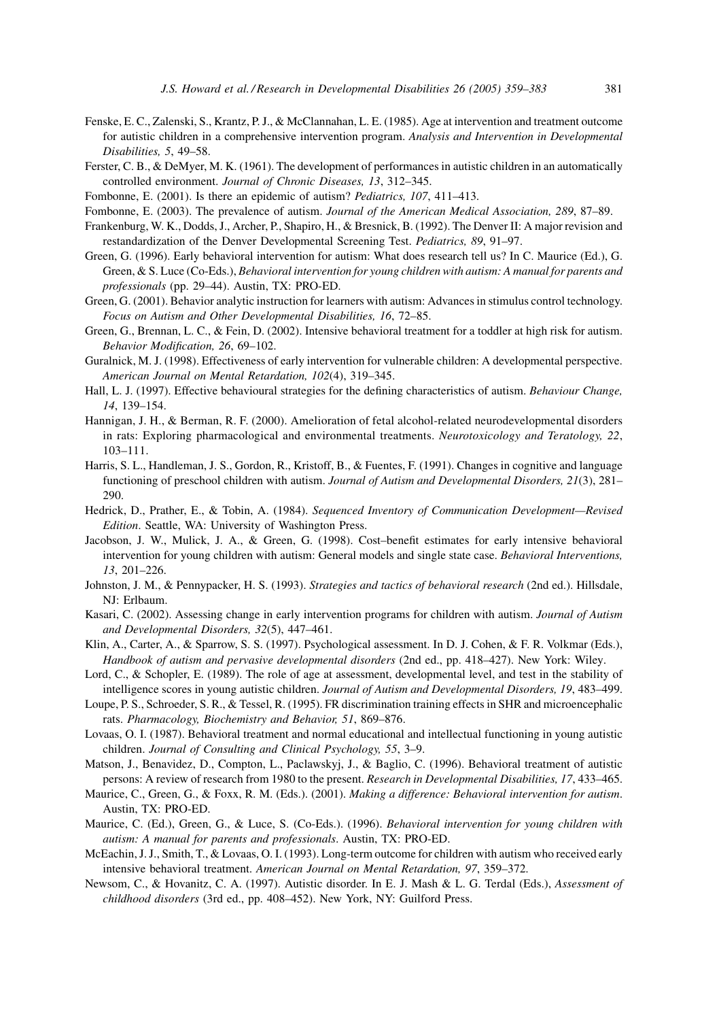- <span id="page-22-0"></span>Fenske, E. C., Zalenski, S., Krantz, P. J., & McClannahan, L. E. (1985). Age at intervention and treatment outcome for autistic children in a comprehensive intervention program. Analysis and Intervention in Developmental Disabilities, 5, 49–58.
- Ferster, C. B., & DeMyer, M. K. (1961). The development of performances in autistic children in an automatically controlled environment. Journal of Chronic Diseases, 13, 312-345.
- Fombonne, E. (2001). Is there an epidemic of autism? Pediatrics, 107, 411–413.
- Fombonne, E. (2003). The prevalence of autism. Journal of the American Medical Association, 289, 87–89.
- Frankenburg, W. K., Dodds, J., Archer, P., Shapiro, H., & Bresnick, B. (1992). The Denver II: A major revision and restandardization of the Denver Developmental Screening Test. Pediatrics, 89, 91–97.
- Green, G. (1996). Early behavioral intervention for autism: What does research tell us? In C. Maurice (Ed.), G. Green, & S. Luce (Co-Eds.), Behavioral intervention for young children with autism: A manual for parents and professionals (pp. 29–44). Austin, TX: PRO-ED.
- Green, G. (2001). Behavior analytic instruction for learners with autism: Advances in stimulus control technology. Focus on Autism and Other Developmental Disabilities, 16, 72–85.
- Green, G., Brennan, L. C., & Fein, D. (2002). Intensive behavioral treatment for a toddler at high risk for autism. Behavior Modification, 26, 69–102.
- Guralnick, M. J. (1998). Effectiveness of early intervention for vulnerable children: A developmental perspective. American Journal on Mental Retardation, 102(4), 319–345.
- Hall, L. J. (1997). Effective behavioural strategies for the defining characteristics of autism. Behaviour Change, 14, 139–154.
- Hannigan, J. H., & Berman, R. F. (2000). Amelioration of fetal alcohol-related neurodevelopmental disorders in rats: Exploring pharmacological and environmental treatments. Neurotoxicology and Teratology, 22, 103–111.
- Harris, S. L., Handleman, J. S., Gordon, R., Kristoff, B., & Fuentes, F. (1991). Changes in cognitive and language functioning of preschool children with autism. Journal of Autism and Developmental Disorders, 21(3), 281-290.
- Hedrick, D., Prather, E., & Tobin, A. (1984). Sequenced Inventory of Communication Development—Revised Edition. Seattle, WA: University of Washington Press.
- Jacobson, J. W., Mulick, J. A., & Green, G. (1998). Cost–benefit estimates for early intensive behavioral intervention for young children with autism: General models and single state case. Behavioral Interventions, 13, 201–226.
- Johnston, J. M., & Pennypacker, H. S. (1993). Strategies and tactics of behavioral research (2nd ed.). Hillsdale, NJ: Erlbaum.
- Kasari, C. (2002). Assessing change in early intervention programs for children with autism. Journal of Autism and Developmental Disorders, 32(5), 447–461.
- Klin, A., Carter, A., & Sparrow, S. S. (1997). Psychological assessment. In D. J. Cohen, & F. R. Volkmar (Eds.), Handbook of autism and pervasive developmental disorders (2nd ed., pp. 418–427). New York: Wiley.
- Lord, C., & Schopler, E. (1989). The role of age at assessment, developmental level, and test in the stability of intelligence scores in young autistic children. Journal of Autism and Developmental Disorders, 19, 483–499.
- Loupe, P. S., Schroeder, S. R., & Tessel, R. (1995). FR discrimination training effects in SHR and microencephalic rats. Pharmacology, Biochemistry and Behavior, 51, 869–876.
- Lovaas, O. I. (1987). Behavioral treatment and normal educational and intellectual functioning in young autistic children. Journal of Consulting and Clinical Psychology, 55, 3–9.
- Matson, J., Benavidez, D., Compton, L., Paclawskyj, J., & Baglio, C. (1996). Behavioral treatment of autistic persons: A review of research from 1980 to the present. Research in Developmental Disabilities, 17, 433-465.
- Maurice, C., Green, G., & Foxx, R. M. (Eds.). (2001). Making a difference: Behavioral intervention for autism. Austin, TX: PRO-ED.
- Maurice, C. (Ed.), Green, G., & Luce, S. (Co-Eds.). (1996). Behavioral intervention for young children with autism: A manual for parents and professionals. Austin, TX: PRO-ED.
- McEachin, J. J., Smith, T., & Lovaas, O. I. (1993). Long-term outcome for children with autism who received early intensive behavioral treatment. American Journal on Mental Retardation, 97, 359–372.
- Newsom, C., & Hovanitz, C. A. (1997). Autistic disorder. In E. J. Mash & L. G. Terdal (Eds.), Assessment of childhood disorders (3rd ed., pp. 408–452). New York, NY: Guilford Press.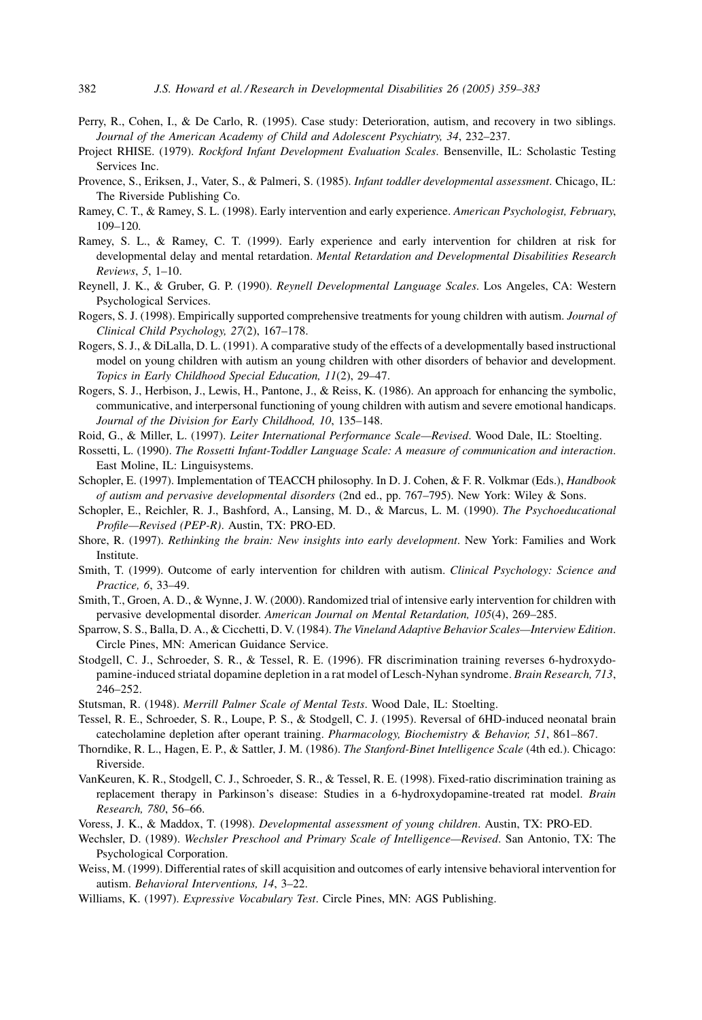- <span id="page-23-0"></span>Perry, R., Cohen, I., & De Carlo, R. (1995). Case study: Deterioration, autism, and recovery in two siblings. Journal of the American Academy of Child and Adolescent Psychiatry, 34, 232–237.
- Project RHISE. (1979). Rockford Infant Development Evaluation Scales. Bensenville, IL: Scholastic Testing Services Inc.
- Provence, S., Eriksen, J., Vater, S., & Palmeri, S. (1985). Infant toddler developmental assessment. Chicago, IL: The Riverside Publishing Co.
- Ramey, C. T., & Ramey, S. L. (1998). Early intervention and early experience. American Psychologist, February, 109–120.
- Ramey, S. L., & Ramey, C. T. (1999). Early experience and early intervention for children at risk for developmental delay and mental retardation. Mental Retardation and Developmental Disabilities Research Reviews, 5, 1–10.
- Reynell, J. K., & Gruber, G. P. (1990). Reynell Developmental Language Scales. Los Angeles, CA: Western Psychological Services.
- Rogers, S. J. (1998). Empirically supported comprehensive treatments for young children with autism. Journal of Clinical Child Psychology, 27(2), 167–178.
- Rogers, S. J., & DiLalla, D. L. (1991). A comparative study of the effects of a developmentally based instructional model on young children with autism an young children with other disorders of behavior and development. Topics in Early Childhood Special Education, 11(2), 29–47.
- Rogers, S. J., Herbison, J., Lewis, H., Pantone, J., & Reiss, K. (1986). An approach for enhancing the symbolic, communicative, and interpersonal functioning of young children with autism and severe emotional handicaps. Journal of the Division for Early Childhood, 10, 135–148.
- Roid, G., & Miller, L. (1997). Leiter International Performance Scale—Revised. Wood Dale, IL: Stoelting.
- Rossetti, L. (1990). The Rossetti Infant-Toddler Language Scale: A measure of communication and interaction. East Moline, IL: Linguisystems.
- Schopler, E. (1997). Implementation of TEACCH philosophy. In D. J. Cohen, & F. R. Volkmar (Eds.), Handbook of autism and pervasive developmental disorders (2nd ed., pp. 767–795). New York: Wiley & Sons.
- Schopler, E., Reichler, R. J., Bashford, A., Lansing, M. D., & Marcus, L. M. (1990). The Psychoeducational Profile—Revised (PEP-R). Austin, TX: PRO-ED.
- Shore, R. (1997). Rethinking the brain: New insights into early development. New York: Families and Work Institute.
- Smith, T. (1999). Outcome of early intervention for children with autism. Clinical Psychology: Science and Practice, 6, 33–49.
- Smith, T., Groen, A. D., & Wynne, J. W. (2000). Randomized trial of intensive early intervention for children with pervasive developmental disorder. American Journal on Mental Retardation, 105(4), 269–285.
- Sparrow, S. S., Balla, D. A., & Cicchetti, D. V. (1984). The Vineland Adaptive Behavior Scales—Interview Edition. Circle Pines, MN: American Guidance Service.
- Stodgell, C. J., Schroeder, S. R., & Tessel, R. E. (1996). FR discrimination training reverses 6-hydroxydopamine-induced striatal dopamine depletion in a rat model of Lesch-Nyhan syndrome. Brain Research, 713, 246–252.
- Stutsman, R. (1948). Merrill Palmer Scale of Mental Tests. Wood Dale, IL: Stoelting.
- Tessel, R. E., Schroeder, S. R., Loupe, P. S., & Stodgell, C. J. (1995). Reversal of 6HD-induced neonatal brain catecholamine depletion after operant training. Pharmacology, Biochemistry & Behavior, 51, 861-867.
- Thorndike, R. L., Hagen, E. P., & Sattler, J. M. (1986). The Stanford-Binet Intelligence Scale (4th ed.). Chicago: Riverside.
- VanKeuren, K. R., Stodgell, C. J., Schroeder, S. R., & Tessel, R. E. (1998). Fixed-ratio discrimination training as replacement therapy in Parkinson's disease: Studies in a 6-hydroxydopamine-treated rat model. Brain Research, 780, 56–66.
- Voress, J. K., & Maddox, T. (1998). Developmental assessment of young children. Austin, TX: PRO-ED.
- Wechsler, D. (1989). Wechsler Preschool and Primary Scale of Intelligence-Revised. San Antonio, TX: The Psychological Corporation.
- Weiss, M. (1999). Differential rates of skill acquisition and outcomes of early intensive behavioral intervention for autism. Behavioral Interventions, 14, 3–22.
- Williams, K. (1997). Expressive Vocabulary Test. Circle Pines, MN: AGS Publishing.